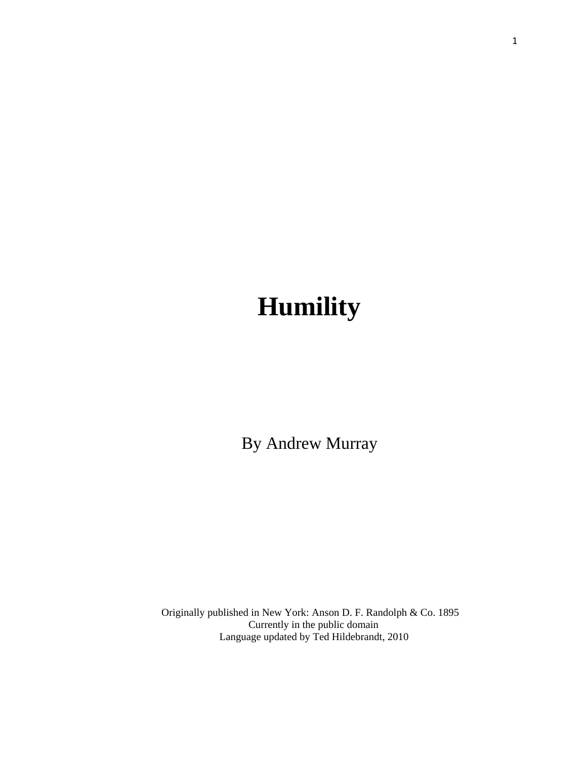# **Humility**

By Andrew Murray

 Originally published in New York: Anson D. F. Randolph & Co. 1895 Currently in the public domain Language updated by Ted Hildebrandt, 2010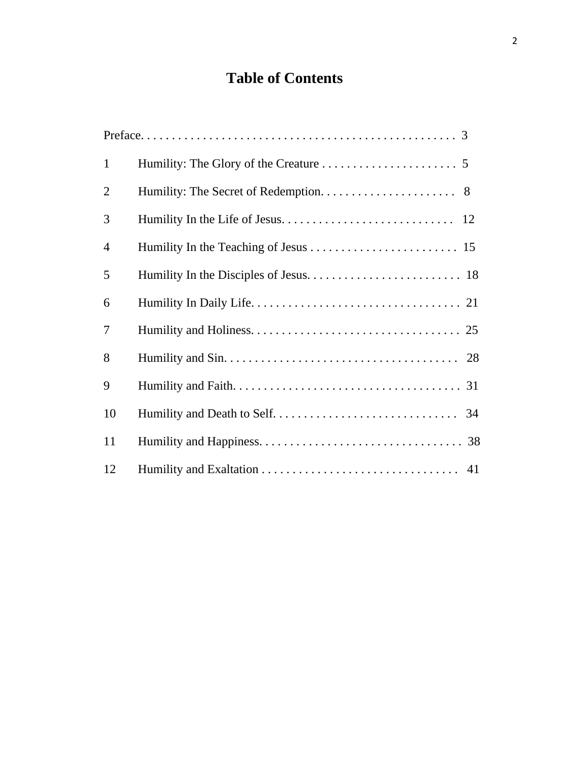# **Table of Contents**

| $\mathbf{1}$   |  |
|----------------|--|
| $\overline{2}$ |  |
| 3              |  |
| $\overline{4}$ |  |
| 5              |  |
| 6              |  |
| $\tau$         |  |
| 8              |  |
| 9              |  |
| 10             |  |
| 11             |  |
| 12             |  |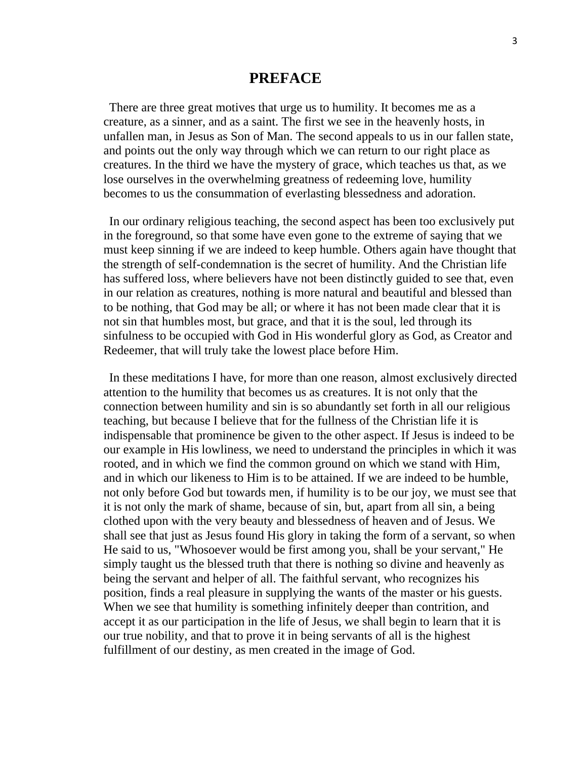# **PREFACE**

There are three great motives that urge us to humility. It becomes me as a creature, as a sinner, and as a saint. The first we see in the heavenly hosts, in unfallen man, in Jesus as Son of Man. The second appeals to us in our fallen state, and points out the only way through which we can return to our right place as creatures. In the third we have the mystery of grace, which teaches us that, as we lose ourselves in the overwhelming greatness of redeeming love, humility becomes to us the consummation of everlasting blessedness and adoration.

In our ordinary religious teaching, the second aspect has been too exclusively put in the foreground, so that some have even gone to the extreme of saying that we must keep sinning if we are indeed to keep humble. Others again have thought that the strength of self-condemnation is the secret of humility. And the Christian life has suffered loss, where believers have not been distinctly guided to see that, even in our relation as creatures, nothing is more natural and beautiful and blessed than to be nothing, that God may be all; or where it has not been made clear that it is not sin that humbles most, but grace, and that it is the soul, led through its sinfulness to be occupied with God in His wonderful glory as God, as Creator and Redeemer, that will truly take the lowest place before Him.

In these meditations I have, for more than one reason, almost exclusively directed attention to the humility that becomes us as creatures. It is not only that the connection between humility and sin is so abundantly set forth in all our religious teaching, but because I believe that for the fullness of the Christian life it is indispensable that prominence be given to the other aspect. If Jesus is indeed to be our example in His lowliness, we need to understand the principles in which it was rooted, and in which we find the common ground on which we stand with Him, and in which our likeness to Him is to be attained. If we are indeed to be humble, not only before God but towards men, if humility is to be our joy, we must see that it is not only the mark of shame, because of sin, but, apart from all sin, a being clothed upon with the very beauty and blessedness of heaven and of Jesus. We shall see that just as Jesus found His glory in taking the form of a servant, so when He said to us, "Whosoever would be first among you, shall be your servant," He simply taught us the blessed truth that there is nothing so divine and heavenly as being the servant and helper of all. The faithful servant, who recognizes his position, finds a real pleasure in supplying the wants of the master or his guests. When we see that humility is something infinitely deeper than contrition, and accept it as our participation in the life of Jesus, we shall begin to learn that it is our true nobility, and that to prove it in being servants of all is the highest fulfillment of our destiny, as men created in the image of God.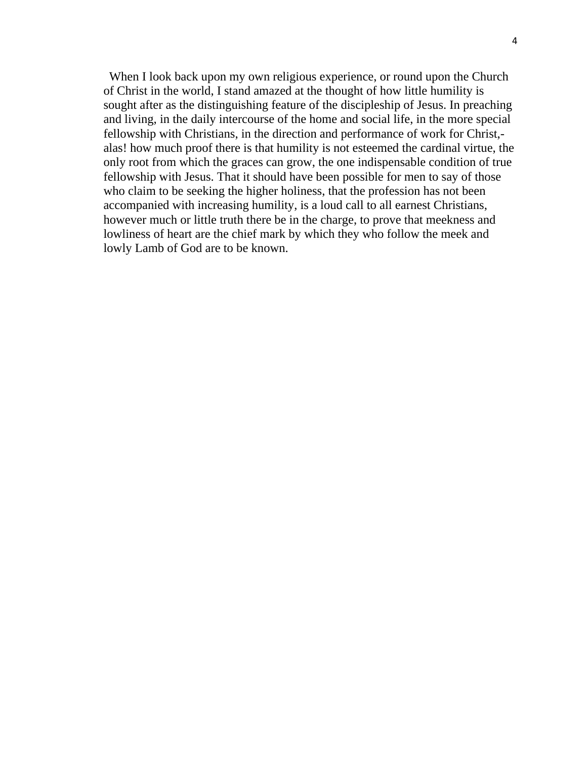When I look back upon my own religious experience, or round upon the Church of Christ in the world, I stand amazed at the thought of how little humility is sought after as the distinguishing feature of the discipleship of Jesus. In preaching and living, in the daily intercourse of the home and social life, in the more special fellowship with Christians, in the direction and performance of work for Christ, alas! how much proof there is that humility is not esteemed the cardinal virtue, the only root from which the graces can grow, the one indispensable condition of true fellowship with Jesus. That it should have been possible for men to say of those who claim to be seeking the higher holiness, that the profession has not been accompanied with increasing humility, is a loud call to all earnest Christians, however much or little truth there be in the charge, to prove that meekness and lowliness of heart are the chief mark by which they who follow the meek and lowly Lamb of God are to be known.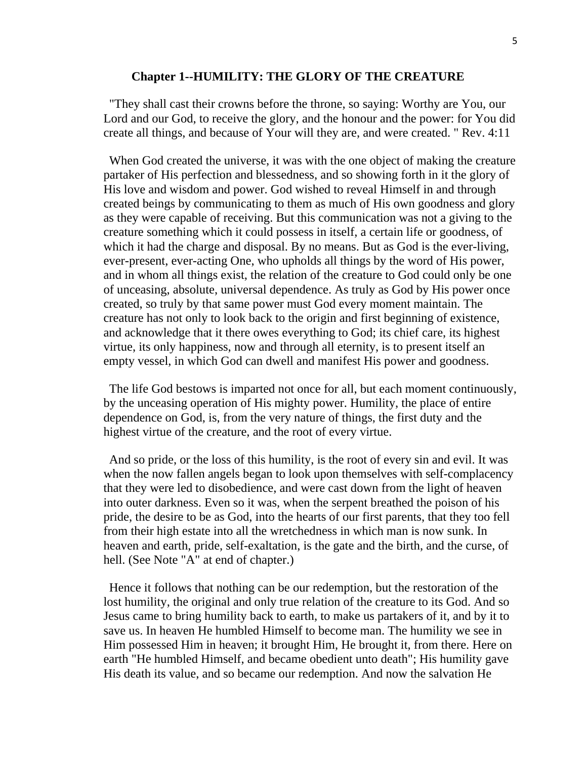#### **Chapter 1--HUMILITY: THE GLORY OF THE CREATURE**

"They shall cast their crowns before the throne, so saying: Worthy are You, our Lord and our God, to receive the glory, and the honour and the power: for You did create all things, and because of Your will they are, and were created. " Rev. 4:11

When God created the universe, it was with the one object of making the creature partaker of His perfection and blessedness, and so showing forth in it the glory of His love and wisdom and power. God wished to reveal Himself in and through created beings by communicating to them as much of His own goodness and glory as they were capable of receiving. But this communication was not a giving to the creature something which it could possess in itself, a certain life or goodness, of which it had the charge and disposal. By no means. But as God is the ever-living, ever-present, ever-acting One, who upholds all things by the word of His power, and in whom all things exist, the relation of the creature to God could only be one of unceasing, absolute, universal dependence. As truly as God by His power once created, so truly by that same power must God every moment maintain. The creature has not only to look back to the origin and first beginning of existence, and acknowledge that it there owes everything to God; its chief care, its highest virtue, its only happiness, now and through all eternity, is to present itself an empty vessel, in which God can dwell and manifest His power and goodness.

The life God bestows is imparted not once for all, but each moment continuously, by the unceasing operation of His mighty power. Humility, the place of entire dependence on God, is, from the very nature of things, the first duty and the highest virtue of the creature, and the root of every virtue.

And so pride, or the loss of this humility, is the root of every sin and evil. It was when the now fallen angels began to look upon themselves with self-complacency that they were led to disobedience, and were cast down from the light of heaven into outer darkness. Even so it was, when the serpent breathed the poison of his pride, the desire to be as God, into the hearts of our first parents, that they too fell from their high estate into all the wretchedness in which man is now sunk. In heaven and earth, pride, self-exaltation, is the gate and the birth, and the curse, of hell. (See Note "A" at end of chapter.)

Hence it follows that nothing can be our redemption, but the restoration of the lost humility, the original and only true relation of the creature to its God. And so Jesus came to bring humility back to earth, to make us partakers of it, and by it to save us. In heaven He humbled Himself to become man. The humility we see in Him possessed Him in heaven; it brought Him, He brought it, from there. Here on earth "He humbled Himself, and became obedient unto death"; His humility gave His death its value, and so became our redemption. And now the salvation He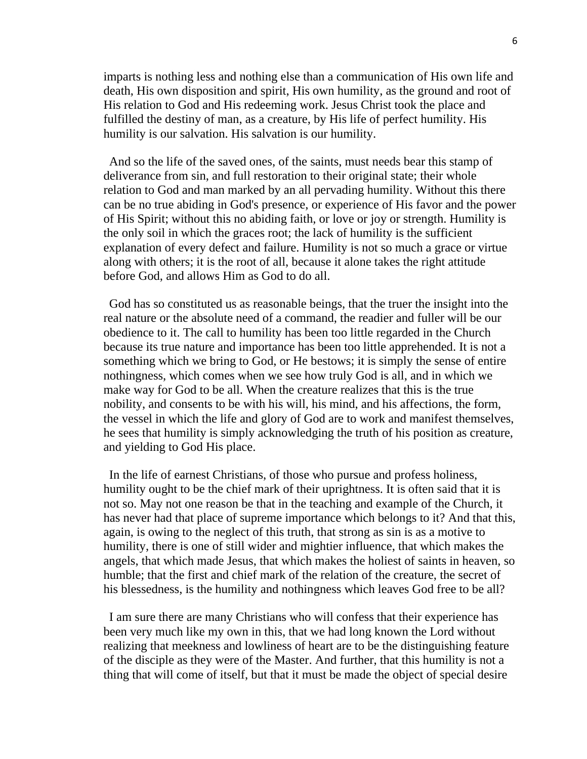imparts is nothing less and nothing else than a communication of His own life and death, His own disposition and spirit, His own humility, as the ground and root of His relation to God and His redeeming work. Jesus Christ took the place and fulfilled the destiny of man, as a creature, by His life of perfect humility. His humility is our salvation. His salvation is our humility.

And so the life of the saved ones, of the saints, must needs bear this stamp of deliverance from sin, and full restoration to their original state; their whole relation to God and man marked by an all pervading humility. Without this there can be no true abiding in God's presence, or experience of His favor and the power of His Spirit; without this no abiding faith, or love or joy or strength. Humility is the only soil in which the graces root; the lack of humility is the sufficient explanation of every defect and failure. Humility is not so much a grace or virtue along with others; it is the root of all, because it alone takes the right attitude before God, and allows Him as God to do all.

God has so constituted us as reasonable beings, that the truer the insight into the real nature or the absolute need of a command, the readier and fuller will be our obedience to it. The call to humility has been too little regarded in the Church because its true nature and importance has been too little apprehended. It is not a something which we bring to God, or He bestows; it is simply the sense of entire nothingness, which comes when we see how truly God is all, and in which we make way for God to be all. When the creature realizes that this is the true nobility, and consents to be with his will, his mind, and his affections, the form, the vessel in which the life and glory of God are to work and manifest themselves, he sees that humility is simply acknowledging the truth of his position as creature, and yielding to God His place.

In the life of earnest Christians, of those who pursue and profess holiness, humility ought to be the chief mark of their uprightness. It is often said that it is not so. May not one reason be that in the teaching and example of the Church, it has never had that place of supreme importance which belongs to it? And that this, again, is owing to the neglect of this truth, that strong as sin is as a motive to humility, there is one of still wider and mightier influence, that which makes the angels, that which made Jesus, that which makes the holiest of saints in heaven, so humble; that the first and chief mark of the relation of the creature, the secret of his blessedness, is the humility and nothingness which leaves God free to be all?

I am sure there are many Christians who will confess that their experience has been very much like my own in this, that we had long known the Lord without realizing that meekness and lowliness of heart are to be the distinguishing feature of the disciple as they were of the Master. And further, that this humility is not a thing that will come of itself, but that it must be made the object of special desire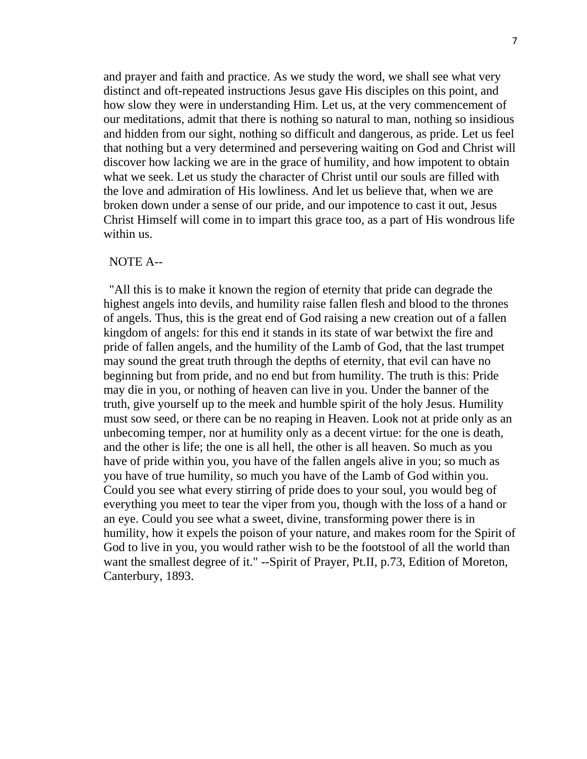and prayer and faith and practice. As we study the word, we shall see what very distinct and oft-repeated instructions Jesus gave His disciples on this point, and how slow they were in understanding Him. Let us, at the very commencement of our meditations, admit that there is nothing so natural to man, nothing so insidious and hidden from our sight, nothing so difficult and dangerous, as pride. Let us feel that nothing but a very determined and persevering waiting on God and Christ will discover how lacking we are in the grace of humility, and how impotent to obtain what we seek. Let us study the character of Christ until our souls are filled with the love and admiration of His lowliness. And let us believe that, when we are broken down under a sense of our pride, and our impotence to cast it out, Jesus Christ Himself will come in to impart this grace too, as a part of His wondrous life within us.

#### NOTE A--

"All this is to make it known the region of eternity that pride can degrade the highest angels into devils, and humility raise fallen flesh and blood to the thrones of angels. Thus, this is the great end of God raising a new creation out of a fallen kingdom of angels: for this end it stands in its state of war betwixt the fire and pride of fallen angels, and the humility of the Lamb of God, that the last trumpet may sound the great truth through the depths of eternity, that evil can have no beginning but from pride, and no end but from humility. The truth is this: Pride may die in you, or nothing of heaven can live in you. Under the banner of the truth, give yourself up to the meek and humble spirit of the holy Jesus. Humility must sow seed, or there can be no reaping in Heaven. Look not at pride only as an unbecoming temper, nor at humility only as a decent virtue: for the one is death, and the other is life; the one is all hell, the other is all heaven. So much as you have of pride within you, you have of the fallen angels alive in you; so much as you have of true humility, so much you have of the Lamb of God within you. Could you see what every stirring of pride does to your soul, you would beg of everything you meet to tear the viper from you, though with the loss of a hand or an eye. Could you see what a sweet, divine, transforming power there is in humility, how it expels the poison of your nature, and makes room for the Spirit of God to live in you, you would rather wish to be the footstool of all the world than want the smallest degree of it." --Spirit of Prayer, Pt.II, p.73, Edition of Moreton, Canterbury, 1893.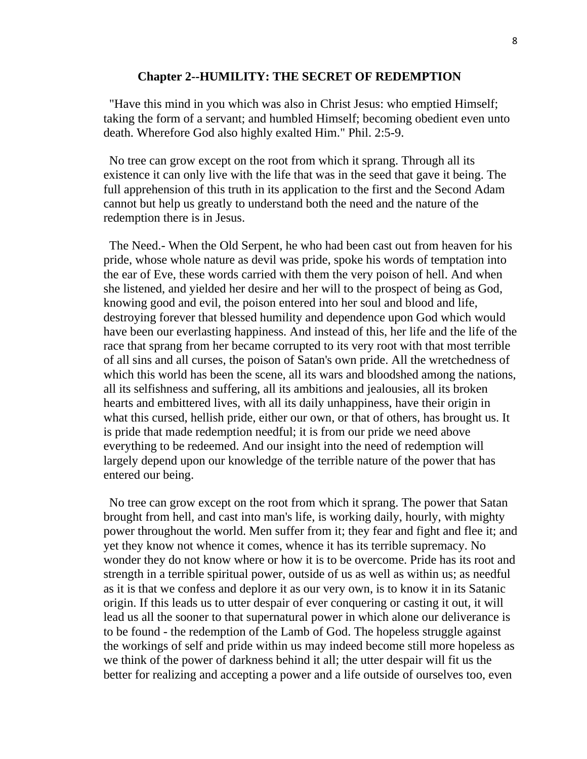#### **Chapter 2--HUMILITY: THE SECRET OF REDEMPTION**

"Have this mind in you which was also in Christ Jesus: who emptied Himself; taking the form of a servant; and humbled Himself; becoming obedient even unto death. Wherefore God also highly exalted Him." Phil. 2:5-9.

No tree can grow except on the root from which it sprang. Through all its existence it can only live with the life that was in the seed that gave it being. The full apprehension of this truth in its application to the first and the Second Adam cannot but help us greatly to understand both the need and the nature of the redemption there is in Jesus.

The Need.- When the Old Serpent, he who had been cast out from heaven for his pride, whose whole nature as devil was pride, spoke his words of temptation into the ear of Eve, these words carried with them the very poison of hell. And when she listened, and yielded her desire and her will to the prospect of being as God, knowing good and evil, the poison entered into her soul and blood and life, destroying forever that blessed humility and dependence upon God which would have been our everlasting happiness. And instead of this, her life and the life of the race that sprang from her became corrupted to its very root with that most terrible of all sins and all curses, the poison of Satan's own pride. All the wretchedness of which this world has been the scene, all its wars and bloodshed among the nations, all its selfishness and suffering, all its ambitions and jealousies, all its broken hearts and embittered lives, with all its daily unhappiness, have their origin in what this cursed, hellish pride, either our own, or that of others, has brought us. It is pride that made redemption needful; it is from our pride we need above everything to be redeemed. And our insight into the need of redemption will largely depend upon our knowledge of the terrible nature of the power that has entered our being.

No tree can grow except on the root from which it sprang. The power that Satan brought from hell, and cast into man's life, is working daily, hourly, with mighty power throughout the world. Men suffer from it; they fear and fight and flee it; and yet they know not whence it comes, whence it has its terrible supremacy. No wonder they do not know where or how it is to be overcome. Pride has its root and strength in a terrible spiritual power, outside of us as well as within us; as needful as it is that we confess and deplore it as our very own, is to know it in its Satanic origin. If this leads us to utter despair of ever conquering or casting it out, it will lead us all the sooner to that supernatural power in which alone our deliverance is to be found - the redemption of the Lamb of God. The hopeless struggle against the workings of self and pride within us may indeed become still more hopeless as we think of the power of darkness behind it all; the utter despair will fit us the better for realizing and accepting a power and a life outside of ourselves too, even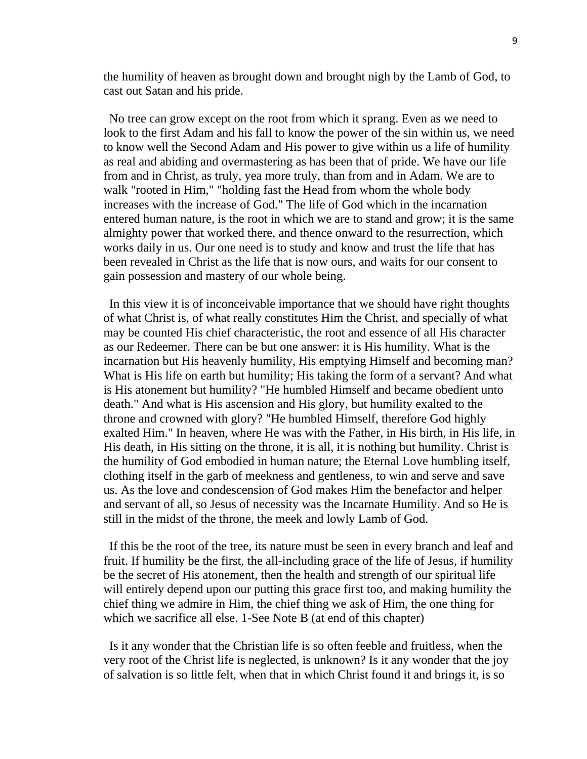the humility of heaven as brought down and brought nigh by the Lamb of God, to cast out Satan and his pride.

No tree can grow except on the root from which it sprang. Even as we need to look to the first Adam and his fall to know the power of the sin within us, we need to know well the Second Adam and His power to give within us a life of humility as real and abiding and overmastering as has been that of pride. We have our life from and in Christ, as truly, yea more truly, than from and in Adam. We are to walk "rooted in Him," "holding fast the Head from whom the whole body increases with the increase of God." The life of God which in the incarnation entered human nature, is the root in which we are to stand and grow; it is the same almighty power that worked there, and thence onward to the resurrection, which works daily in us. Our one need is to study and know and trust the life that has been revealed in Christ as the life that is now ours, and waits for our consent to gain possession and mastery of our whole being.

In this view it is of inconceivable importance that we should have right thoughts of what Christ is, of what really constitutes Him the Christ, and specially of what may be counted His chief characteristic, the root and essence of all His character as our Redeemer. There can be but one answer: it is His humility. What is the incarnation but His heavenly humility, His emptying Himself and becoming man? What is His life on earth but humility; His taking the form of a servant? And what is His atonement but humility? "He humbled Himself and became obedient unto death." And what is His ascension and His glory, but humility exalted to the throne and crowned with glory? "He humbled Himself, therefore God highly exalted Him." In heaven, where He was with the Father, in His birth, in His life, in His death, in His sitting on the throne, it is all, it is nothing but humility. Christ is the humility of God embodied in human nature; the Eternal Love humbling itself, clothing itself in the garb of meekness and gentleness, to win and serve and save us. As the love and condescension of God makes Him the benefactor and helper and servant of all, so Jesus of necessity was the Incarnate Humility. And so He is still in the midst of the throne, the meek and lowly Lamb of God.

If this be the root of the tree, its nature must be seen in every branch and leaf and fruit. If humility be the first, the all-including grace of the life of Jesus, if humility be the secret of His atonement, then the health and strength of our spiritual life will entirely depend upon our putting this grace first too, and making humility the chief thing we admire in Him, the chief thing we ask of Him, the one thing for which we sacrifice all else. 1-See Note B (at end of this chapter)

Is it any wonder that the Christian life is so often feeble and fruitless, when the very root of the Christ life is neglected, is unknown? Is it any wonder that the joy of salvation is so little felt, when that in which Christ found it and brings it, is so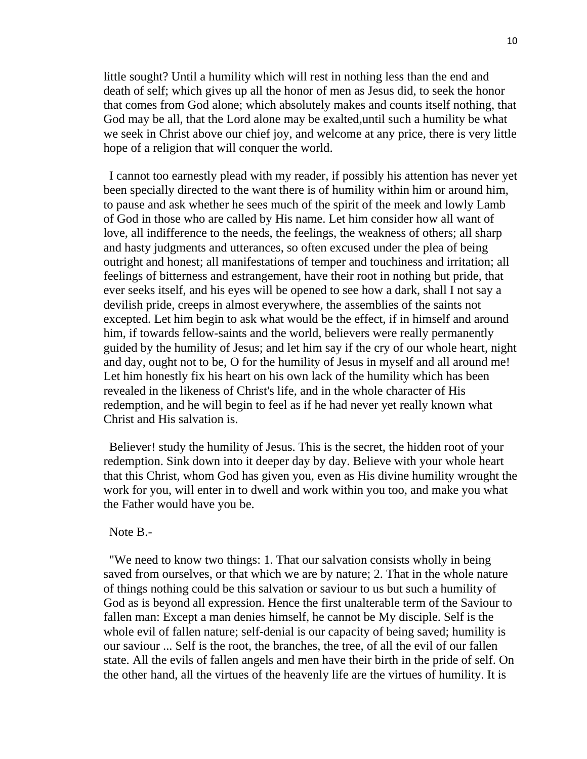little sought? Until a humility which will rest in nothing less than the end and death of self; which gives up all the honor of men as Jesus did, to seek the honor that comes from God alone; which absolutely makes and counts itself nothing, that God may be all, that the Lord alone may be exalted,until such a humility be what we seek in Christ above our chief joy, and welcome at any price, there is very little hope of a religion that will conquer the world.

I cannot too earnestly plead with my reader, if possibly his attention has never yet been specially directed to the want there is of humility within him or around him, to pause and ask whether he sees much of the spirit of the meek and lowly Lamb of God in those who are called by His name. Let him consider how all want of love, all indifference to the needs, the feelings, the weakness of others; all sharp and hasty judgments and utterances, so often excused under the plea of being outright and honest; all manifestations of temper and touchiness and irritation; all feelings of bitterness and estrangement, have their root in nothing but pride, that ever seeks itself, and his eyes will be opened to see how a dark, shall I not say a devilish pride, creeps in almost everywhere, the assemblies of the saints not excepted. Let him begin to ask what would be the effect, if in himself and around him, if towards fellow-saints and the world, believers were really permanently guided by the humility of Jesus; and let him say if the cry of our whole heart, night and day, ought not to be, O for the humility of Jesus in myself and all around me! Let him honestly fix his heart on his own lack of the humility which has been revealed in the likeness of Christ's life, and in the whole character of His redemption, and he will begin to feel as if he had never yet really known what Christ and His salvation is.

Believer! study the humility of Jesus. This is the secret, the hidden root of your redemption. Sink down into it deeper day by day. Believe with your whole heart that this Christ, whom God has given you, even as His divine humility wrought the work for you, will enter in to dwell and work within you too, and make you what the Father would have you be.

# Note B.-

"We need to know two things: 1. That our salvation consists wholly in being saved from ourselves, or that which we are by nature; 2. That in the whole nature of things nothing could be this salvation or saviour to us but such a humility of God as is beyond all expression. Hence the first unalterable term of the Saviour to fallen man: Except a man denies himself, he cannot be My disciple. Self is the whole evil of fallen nature; self-denial is our capacity of being saved; humility is our saviour ... Self is the root, the branches, the tree, of all the evil of our fallen state. All the evils of fallen angels and men have their birth in the pride of self. On the other hand, all the virtues of the heavenly life are the virtues of humility. It is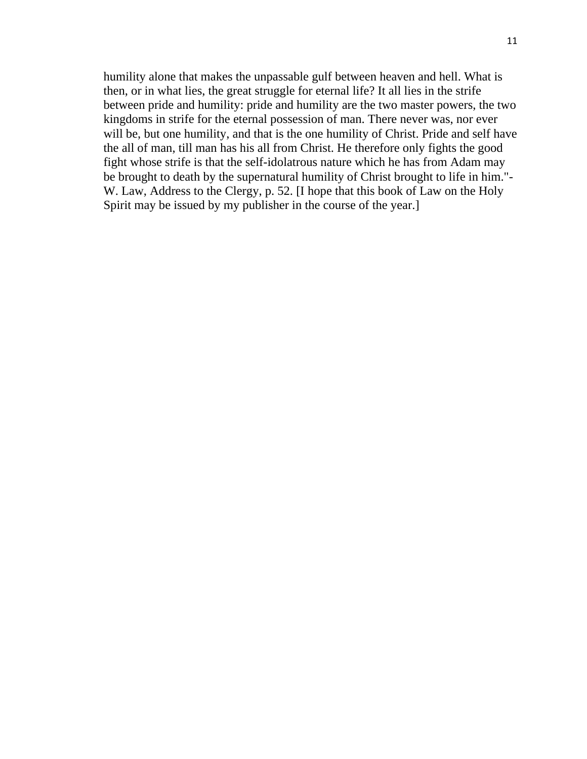humility alone that makes the unpassable gulf between heaven and hell. What is then, or in what lies, the great struggle for eternal life? It all lies in the strife between pride and humility: pride and humility are the two master powers, the two kingdoms in strife for the eternal possession of man. There never was, nor ever will be, but one humility, and that is the one humility of Christ. Pride and self have the all of man, till man has his all from Christ. He therefore only fights the good fight whose strife is that the self-idolatrous nature which he has from Adam may be brought to death by the supernatural humility of Christ brought to life in him."- W. Law, Address to the Clergy, p. 52. [I hope that this book of Law on the Holy Spirit may be issued by my publisher in the course of the year.]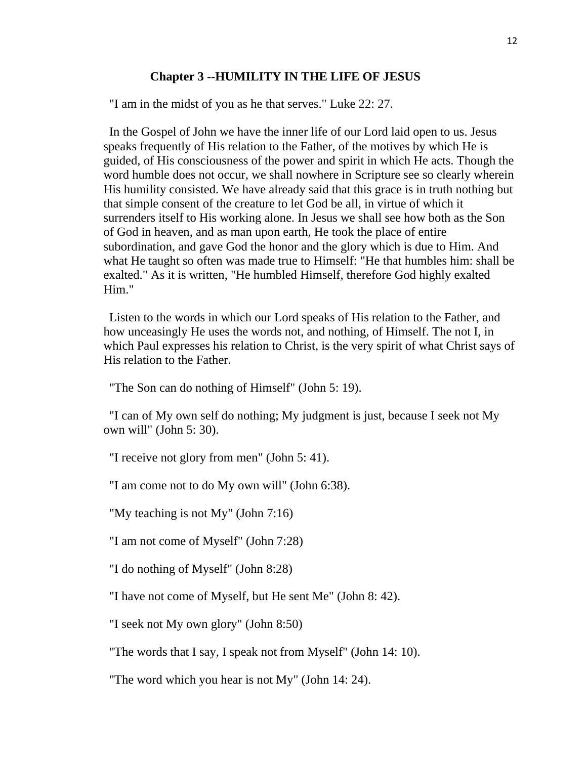### **Chapter 3 --HUMILITY IN THE LIFE OF JESUS**

"I am in the midst of you as he that serves." Luke 22: 27.

In the Gospel of John we have the inner life of our Lord laid open to us. Jesus speaks frequently of His relation to the Father, of the motives by which He is guided, of His consciousness of the power and spirit in which He acts. Though the word humble does not occur, we shall nowhere in Scripture see so clearly wherein His humility consisted. We have already said that this grace is in truth nothing but that simple consent of the creature to let God be all, in virtue of which it surrenders itself to His working alone. In Jesus we shall see how both as the Son of God in heaven, and as man upon earth, He took the place of entire subordination, and gave God the honor and the glory which is due to Him. And what He taught so often was made true to Himself: "He that humbles him: shall be exalted." As it is written, "He humbled Himself, therefore God highly exalted Him."

Listen to the words in which our Lord speaks of His relation to the Father, and how unceasingly He uses the words not, and nothing, of Himself. The not I, in which Paul expresses his relation to Christ, is the very spirit of what Christ says of His relation to the Father.

"The Son can do nothing of Himself" (John 5: 19).

"I can of My own self do nothing; My judgment is just, because I seek not My own will" (John 5: 30).

"I receive not glory from men" (John 5: 41).

"I am come not to do My own will" (John 6:38).

"My teaching is not My" (John 7:16)

"I am not come of Myself" (John 7:28)

"I do nothing of Myself" (John 8:28)

"I have not come of Myself, but He sent Me" (John 8: 42).

"I seek not My own glory" (John 8:50)

"The words that I say, I speak not from Myself" (John 14: 10).

"The word which you hear is not My" (John 14: 24).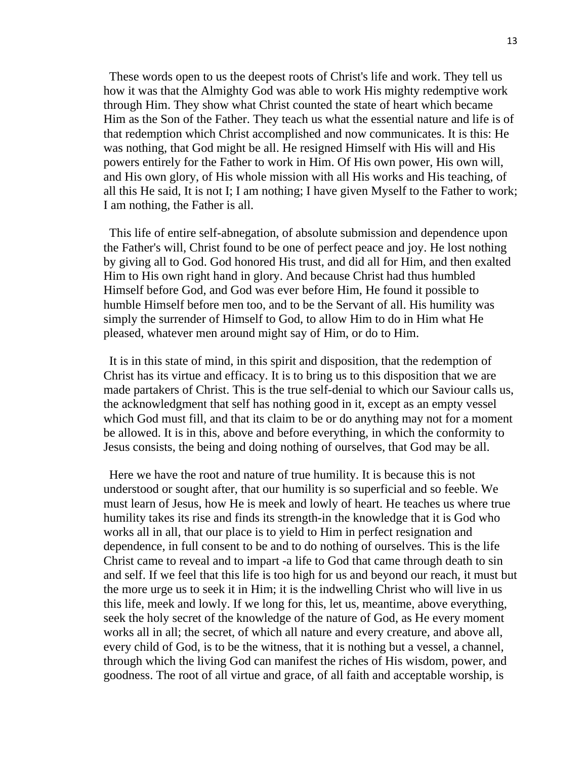These words open to us the deepest roots of Christ's life and work. They tell us how it was that the Almighty God was able to work His mighty redemptive work through Him. They show what Christ counted the state of heart which became Him as the Son of the Father. They teach us what the essential nature and life is of that redemption which Christ accomplished and now communicates. It is this: He was nothing, that God might be all. He resigned Himself with His will and His powers entirely for the Father to work in Him. Of His own power, His own will, and His own glory, of His whole mission with all His works and His teaching, of all this He said, It is not I; I am nothing; I have given Myself to the Father to work; I am nothing, the Father is all.

This life of entire self-abnegation, of absolute submission and dependence upon the Father's will, Christ found to be one of perfect peace and joy. He lost nothing by giving all to God. God honored His trust, and did all for Him, and then exalted Him to His own right hand in glory. And because Christ had thus humbled Himself before God, and God was ever before Him, He found it possible to humble Himself before men too, and to be the Servant of all. His humility was simply the surrender of Himself to God, to allow Him to do in Him what He pleased, whatever men around might say of Him, or do to Him.

It is in this state of mind, in this spirit and disposition, that the redemption of Christ has its virtue and efficacy. It is to bring us to this disposition that we are made partakers of Christ. This is the true self-denial to which our Saviour calls us, the acknowledgment that self has nothing good in it, except as an empty vessel which God must fill, and that its claim to be or do anything may not for a moment be allowed. It is in this, above and before everything, in which the conformity to Jesus consists, the being and doing nothing of ourselves, that God may be all.

Here we have the root and nature of true humility. It is because this is not understood or sought after, that our humility is so superficial and so feeble. We must learn of Jesus, how He is meek and lowly of heart. He teaches us where true humility takes its rise and finds its strength-in the knowledge that it is God who works all in all, that our place is to yield to Him in perfect resignation and dependence, in full consent to be and to do nothing of ourselves. This is the life Christ came to reveal and to impart -a life to God that came through death to sin and self. If we feel that this life is too high for us and beyond our reach, it must but the more urge us to seek it in Him; it is the indwelling Christ who will live in us this life, meek and lowly. If we long for this, let us, meantime, above everything, seek the holy secret of the knowledge of the nature of God, as He every moment works all in all; the secret, of which all nature and every creature, and above all, every child of God, is to be the witness, that it is nothing but a vessel, a channel, through which the living God can manifest the riches of His wisdom, power, and goodness. The root of all virtue and grace, of all faith and acceptable worship, is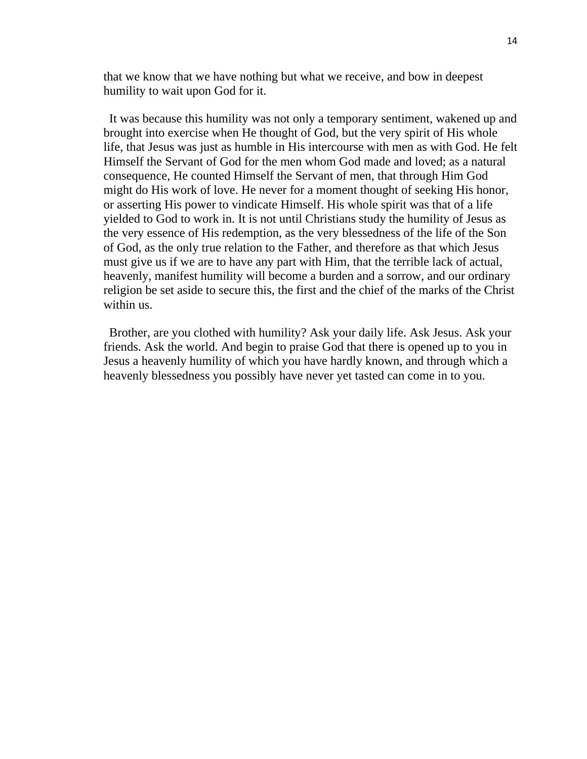that we know that we have nothing but what we receive, and bow in deepest humility to wait upon God for it.

It was because this humility was not only a temporary sentiment, wakened up and brought into exercise when He thought of God, but the very spirit of His whole life, that Jesus was just as humble in His intercourse with men as with God. He felt Himself the Servant of God for the men whom God made and loved; as a natural consequence, He counted Himself the Servant of men, that through Him God might do His work of love. He never for a moment thought of seeking His honor, or asserting His power to vindicate Himself. His whole spirit was that of a life yielded to God to work in. It is not until Christians study the humility of Jesus as the very essence of His redemption, as the very blessedness of the life of the Son of God, as the only true relation to the Father, and therefore as that which Jesus must give us if we are to have any part with Him, that the terrible lack of actual, heavenly, manifest humility will become a burden and a sorrow, and our ordinary religion be set aside to secure this, the first and the chief of the marks of the Christ within us.

Brother, are you clothed with humility? Ask your daily life. Ask Jesus. Ask your friends. Ask the world. And begin to praise God that there is opened up to you in Jesus a heavenly humility of which you have hardly known, and through which a heavenly blessedness you possibly have never yet tasted can come in to you.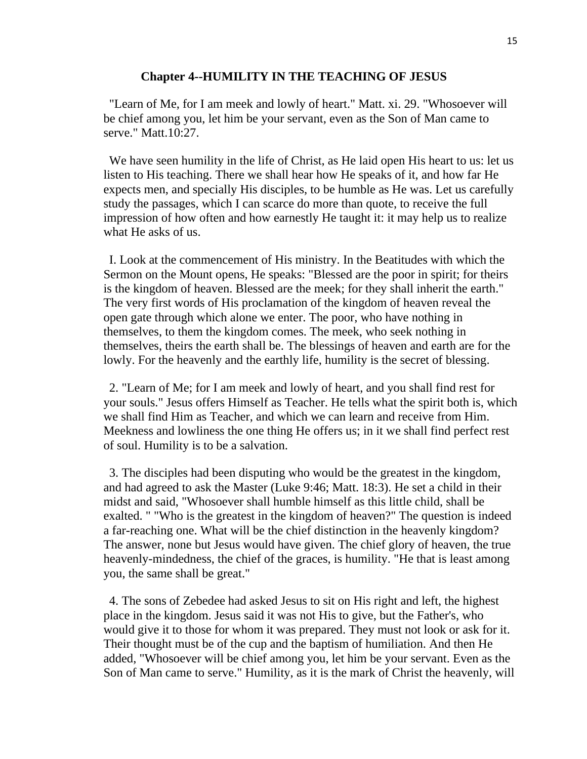#### **Chapter 4--HUMILITY IN THE TEACHING OF JESUS**

"Learn of Me, for I am meek and lowly of heart." Matt. xi. 29. "Whosoever will be chief among you, let him be your servant, even as the Son of Man came to serve." Matt.10:27.

We have seen humility in the life of Christ, as He laid open His heart to us: let us listen to His teaching. There we shall hear how He speaks of it, and how far He expects men, and specially His disciples, to be humble as He was. Let us carefully study the passages, which I can scarce do more than quote, to receive the full impression of how often and how earnestly He taught it: it may help us to realize what He asks of us.

I. Look at the commencement of His ministry. In the Beatitudes with which the Sermon on the Mount opens, He speaks: "Blessed are the poor in spirit; for theirs is the kingdom of heaven. Blessed are the meek; for they shall inherit the earth." The very first words of His proclamation of the kingdom of heaven reveal the open gate through which alone we enter. The poor, who have nothing in themselves, to them the kingdom comes. The meek, who seek nothing in themselves, theirs the earth shall be. The blessings of heaven and earth are for the lowly. For the heavenly and the earthly life, humility is the secret of blessing.

2. "Learn of Me; for I am meek and lowly of heart, and you shall find rest for your souls." Jesus offers Himself as Teacher. He tells what the spirit both is, which we shall find Him as Teacher, and which we can learn and receive from Him. Meekness and lowliness the one thing He offers us; in it we shall find perfect rest of soul. Humility is to be a salvation.

3. The disciples had been disputing who would be the greatest in the kingdom, and had agreed to ask the Master (Luke 9:46; Matt. 18:3). He set a child in their midst and said, "Whosoever shall humble himself as this little child, shall be exalted. " "Who is the greatest in the kingdom of heaven?" The question is indeed a far-reaching one. What will be the chief distinction in the heavenly kingdom? The answer, none but Jesus would have given. The chief glory of heaven, the true heavenly-mindedness, the chief of the graces, is humility. "He that is least among you, the same shall be great."

4. The sons of Zebedee had asked Jesus to sit on His right and left, the highest place in the kingdom. Jesus said it was not His to give, but the Father's, who would give it to those for whom it was prepared. They must not look or ask for it. Their thought must be of the cup and the baptism of humiliation. And then He added, "Whosoever will be chief among you, let him be your servant. Even as the Son of Man came to serve." Humility, as it is the mark of Christ the heavenly, will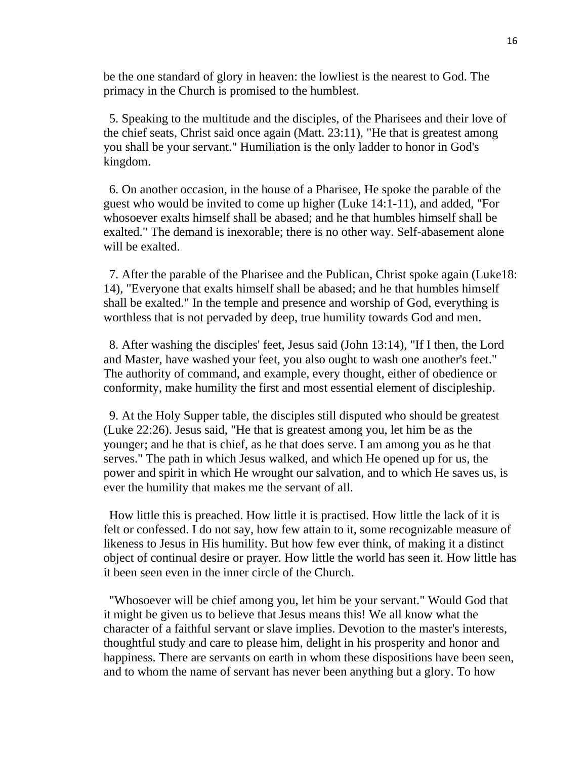be the one standard of glory in heaven: the lowliest is the nearest to God. The primacy in the Church is promised to the humblest.

5. Speaking to the multitude and the disciples, of the Pharisees and their love of the chief seats, Christ said once again (Matt. 23:11), "He that is greatest among you shall be your servant." Humiliation is the only ladder to honor in God's kingdom.

6. On another occasion, in the house of a Pharisee, He spoke the parable of the guest who would be invited to come up higher (Luke 14:1-11), and added, "For whosoever exalts himself shall be abased; and he that humbles himself shall be exalted." The demand is inexorable; there is no other way. Self-abasement alone will be exalted.

7. After the parable of the Pharisee and the Publican, Christ spoke again (Luke18: 14), "Everyone that exalts himself shall be abased; and he that humbles himself shall be exalted." In the temple and presence and worship of God, everything is worthless that is not pervaded by deep, true humility towards God and men.

8. After washing the disciples' feet, Jesus said (John 13:14), "If I then, the Lord and Master, have washed your feet, you also ought to wash one another's feet." The authority of command, and example, every thought, either of obedience or conformity, make humility the first and most essential element of discipleship.

9. At the Holy Supper table, the disciples still disputed who should be greatest (Luke 22:26). Jesus said, "He that is greatest among you, let him be as the younger; and he that is chief, as he that does serve. I am among you as he that serves." The path in which Jesus walked, and which He opened up for us, the power and spirit in which He wrought our salvation, and to which He saves us, is ever the humility that makes me the servant of all.

How little this is preached. How little it is practised. How little the lack of it is felt or confessed. I do not say, how few attain to it, some recognizable measure of likeness to Jesus in His humility. But how few ever think, of making it a distinct object of continual desire or prayer. How little the world has seen it. How little has it been seen even in the inner circle of the Church.

"Whosoever will be chief among you, let him be your servant." Would God that it might be given us to believe that Jesus means this! We all know what the character of a faithful servant or slave implies. Devotion to the master's interests, thoughtful study and care to please him, delight in his prosperity and honor and happiness. There are servants on earth in whom these dispositions have been seen, and to whom the name of servant has never been anything but a glory. To how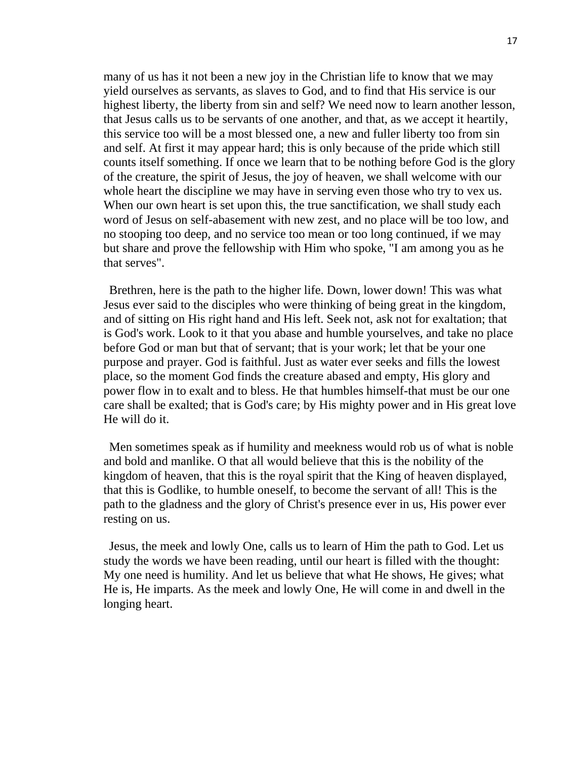many of us has it not been a new joy in the Christian life to know that we may yield ourselves as servants, as slaves to God, and to find that His service is our highest liberty, the liberty from sin and self? We need now to learn another lesson, that Jesus calls us to be servants of one another, and that, as we accept it heartily, this service too will be a most blessed one, a new and fuller liberty too from sin and self. At first it may appear hard; this is only because of the pride which still counts itself something. If once we learn that to be nothing before God is the glory of the creature, the spirit of Jesus, the joy of heaven, we shall welcome with our whole heart the discipline we may have in serving even those who try to vex us. When our own heart is set upon this, the true sanctification, we shall study each word of Jesus on self-abasement with new zest, and no place will be too low, and no stooping too deep, and no service too mean or too long continued, if we may but share and prove the fellowship with Him who spoke, "I am among you as he that serves".

Brethren, here is the path to the higher life. Down, lower down! This was what Jesus ever said to the disciples who were thinking of being great in the kingdom, and of sitting on His right hand and His left. Seek not, ask not for exaltation; that is God's work. Look to it that you abase and humble yourselves, and take no place before God or man but that of servant; that is your work; let that be your one purpose and prayer. God is faithful. Just as water ever seeks and fills the lowest place, so the moment God finds the creature abased and empty, His glory and power flow in to exalt and to bless. He that humbles himself-that must be our one care shall be exalted; that is God's care; by His mighty power and in His great love He will do it.

Men sometimes speak as if humility and meekness would rob us of what is noble and bold and manlike. O that all would believe that this is the nobility of the kingdom of heaven, that this is the royal spirit that the King of heaven displayed, that this is Godlike, to humble oneself, to become the servant of all! This is the path to the gladness and the glory of Christ's presence ever in us, His power ever resting on us.

Jesus, the meek and lowly One, calls us to learn of Him the path to God. Let us study the words we have been reading, until our heart is filled with the thought: My one need is humility. And let us believe that what He shows, He gives; what He is, He imparts. As the meek and lowly One, He will come in and dwell in the longing heart.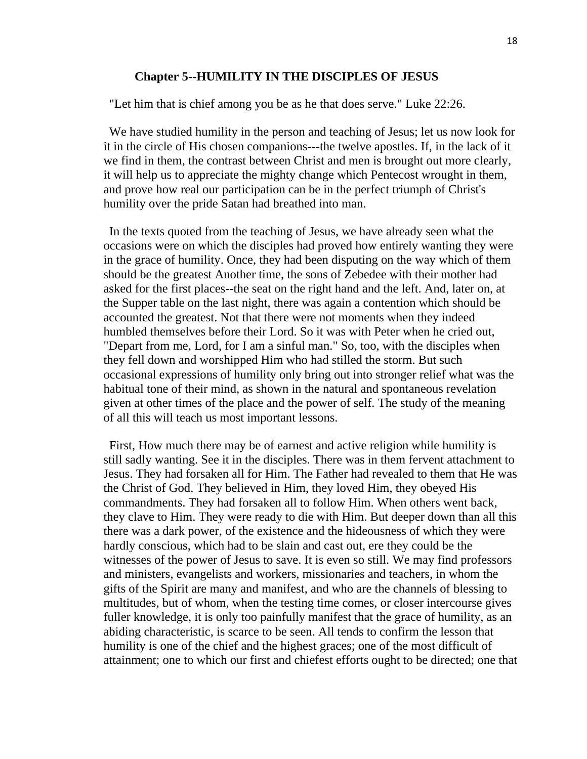#### **Chapter 5--HUMILITY IN THE DISCIPLES OF JESUS**

"Let him that is chief among you be as he that does serve." Luke 22:26.

We have studied humility in the person and teaching of Jesus; let us now look for it in the circle of His chosen companions---the twelve apostles. If, in the lack of it we find in them, the contrast between Christ and men is brought out more clearly, it will help us to appreciate the mighty change which Pentecost wrought in them, and prove how real our participation can be in the perfect triumph of Christ's humility over the pride Satan had breathed into man.

In the texts quoted from the teaching of Jesus, we have already seen what the occasions were on which the disciples had proved how entirely wanting they were in the grace of humility. Once, they had been disputing on the way which of them should be the greatest Another time, the sons of Zebedee with their mother had asked for the first places--the seat on the right hand and the left. And, later on, at the Supper table on the last night, there was again a contention which should be accounted the greatest. Not that there were not moments when they indeed humbled themselves before their Lord. So it was with Peter when he cried out, "Depart from me, Lord, for I am a sinful man." So, too, with the disciples when they fell down and worshipped Him who had stilled the storm. But such occasional expressions of humility only bring out into stronger relief what was the habitual tone of their mind, as shown in the natural and spontaneous revelation given at other times of the place and the power of self. The study of the meaning of all this will teach us most important lessons.

First, How much there may be of earnest and active religion while humility is still sadly wanting. See it in the disciples. There was in them fervent attachment to Jesus. They had forsaken all for Him. The Father had revealed to them that He was the Christ of God. They believed in Him, they loved Him, they obeyed His commandments. They had forsaken all to follow Him. When others went back, they clave to Him. They were ready to die with Him. But deeper down than all this there was a dark power, of the existence and the hideousness of which they were hardly conscious, which had to be slain and cast out, ere they could be the witnesses of the power of Jesus to save. It is even so still. We may find professors and ministers, evangelists and workers, missionaries and teachers, in whom the gifts of the Spirit are many and manifest, and who are the channels of blessing to multitudes, but of whom, when the testing time comes, or closer intercourse gives fuller knowledge, it is only too painfully manifest that the grace of humility, as an abiding characteristic, is scarce to be seen. All tends to confirm the lesson that humility is one of the chief and the highest graces; one of the most difficult of attainment; one to which our first and chiefest efforts ought to be directed; one that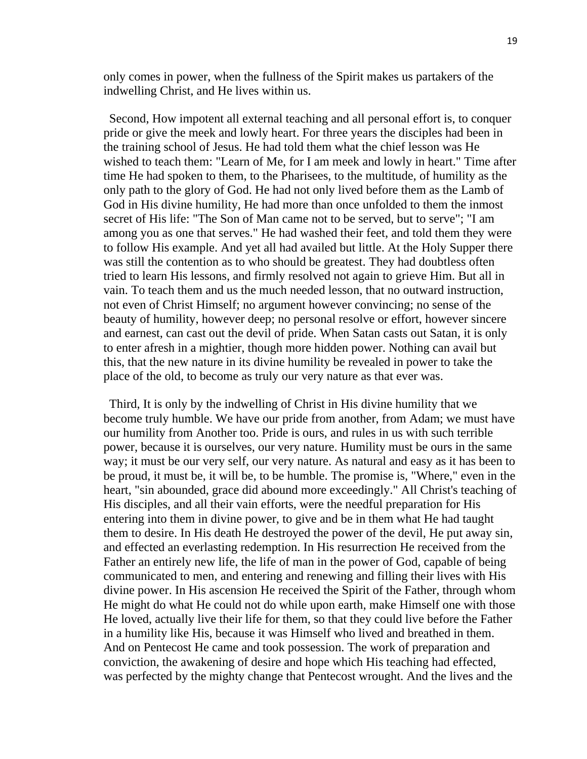only comes in power, when the fullness of the Spirit makes us partakers of the indwelling Christ, and He lives within us.

Second, How impotent all external teaching and all personal effort is, to conquer pride or give the meek and lowly heart. For three years the disciples had been in the training school of Jesus. He had told them what the chief lesson was He wished to teach them: "Learn of Me, for I am meek and lowly in heart." Time after time He had spoken to them, to the Pharisees, to the multitude, of humility as the only path to the glory of God. He had not only lived before them as the Lamb of God in His divine humility, He had more than once unfolded to them the inmost secret of His life: "The Son of Man came not to be served, but to serve"; "I am among you as one that serves." He had washed their feet, and told them they were to follow His example. And yet all had availed but little. At the Holy Supper there was still the contention as to who should be greatest. They had doubtless often tried to learn His lessons, and firmly resolved not again to grieve Him. But all in vain. To teach them and us the much needed lesson, that no outward instruction, not even of Christ Himself; no argument however convincing; no sense of the beauty of humility, however deep; no personal resolve or effort, however sincere and earnest, can cast out the devil of pride. When Satan casts out Satan, it is only to enter afresh in a mightier, though more hidden power. Nothing can avail but this, that the new nature in its divine humility be revealed in power to take the place of the old, to become as truly our very nature as that ever was.

Third, It is only by the indwelling of Christ in His divine humility that we become truly humble. We have our pride from another, from Adam; we must have our humility from Another too. Pride is ours, and rules in us with such terrible power, because it is ourselves, our very nature. Humility must be ours in the same way; it must be our very self, our very nature. As natural and easy as it has been to be proud, it must be, it will be, to be humble. The promise is, "Where," even in the heart, "sin abounded, grace did abound more exceedingly." All Christ's teaching of His disciples, and all their vain efforts, were the needful preparation for His entering into them in divine power, to give and be in them what He had taught them to desire. In His death He destroyed the power of the devil, He put away sin, and effected an everlasting redemption. In His resurrection He received from the Father an entirely new life, the life of man in the power of God, capable of being communicated to men, and entering and renewing and filling their lives with His divine power. In His ascension He received the Spirit of the Father, through whom He might do what He could not do while upon earth, make Himself one with those He loved, actually live their life for them, so that they could live before the Father in a humility like His, because it was Himself who lived and breathed in them. And on Pentecost He came and took possession. The work of preparation and conviction, the awakening of desire and hope which His teaching had effected, was perfected by the mighty change that Pentecost wrought. And the lives and the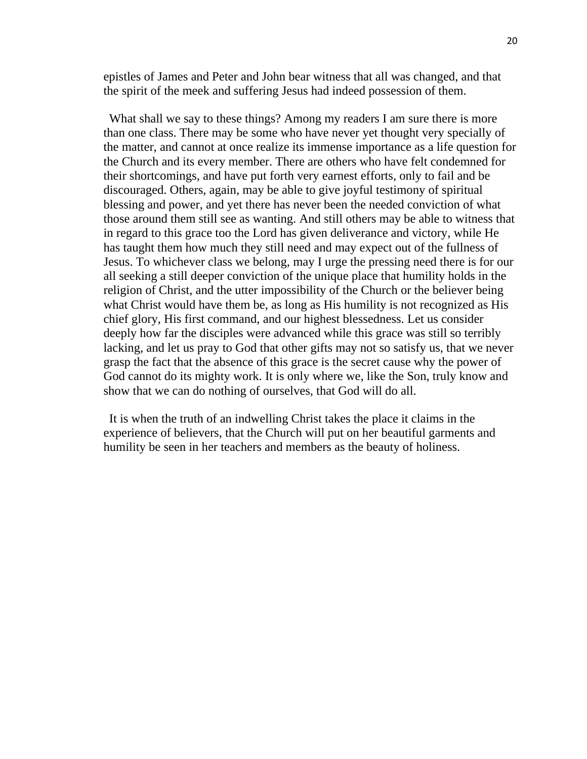epistles of James and Peter and John bear witness that all was changed, and that the spirit of the meek and suffering Jesus had indeed possession of them.

What shall we say to these things? Among my readers I am sure there is more than one class. There may be some who have never yet thought very specially of the matter, and cannot at once realize its immense importance as a life question for the Church and its every member. There are others who have felt condemned for their shortcomings, and have put forth very earnest efforts, only to fail and be discouraged. Others, again, may be able to give joyful testimony of spiritual blessing and power, and yet there has never been the needed conviction of what those around them still see as wanting. And still others may be able to witness that in regard to this grace too the Lord has given deliverance and victory, while He has taught them how much they still need and may expect out of the fullness of Jesus. To whichever class we belong, may I urge the pressing need there is for our all seeking a still deeper conviction of the unique place that humility holds in the religion of Christ, and the utter impossibility of the Church or the believer being what Christ would have them be, as long as His humility is not recognized as His chief glory, His first command, and our highest blessedness. Let us consider deeply how far the disciples were advanced while this grace was still so terribly lacking, and let us pray to God that other gifts may not so satisfy us, that we never grasp the fact that the absence of this grace is the secret cause why the power of God cannot do its mighty work. It is only where we, like the Son, truly know and show that we can do nothing of ourselves, that God will do all.

It is when the truth of an indwelling Christ takes the place it claims in the experience of believers, that the Church will put on her beautiful garments and humility be seen in her teachers and members as the beauty of holiness.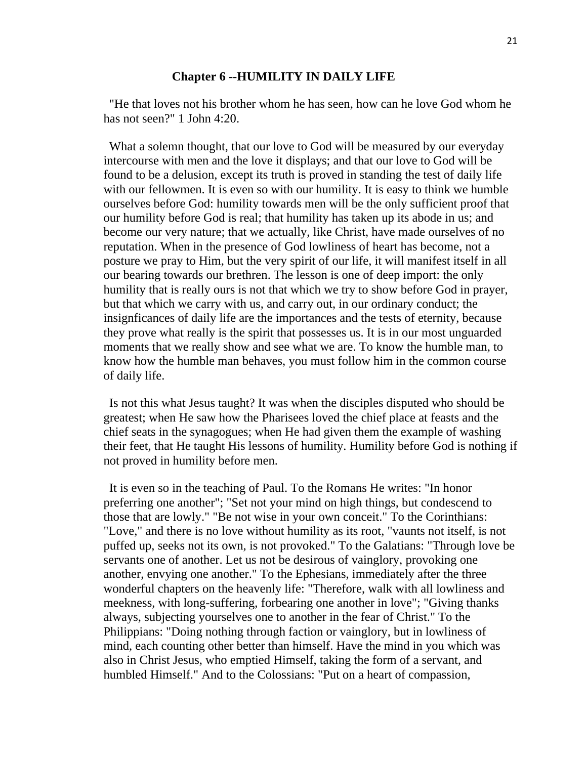#### **Chapter 6 --HUMILITY IN DAILY LIFE**

"He that loves not his brother whom he has seen, how can he love God whom he has not seen?" 1 John 4:20.

What a solemn thought, that our love to God will be measured by our everyday intercourse with men and the love it displays; and that our love to God will be found to be a delusion, except its truth is proved in standing the test of daily life with our fellowmen. It is even so with our humility. It is easy to think we humble ourselves before God: humility towards men will be the only sufficient proof that our humility before God is real; that humility has taken up its abode in us; and become our very nature; that we actually, like Christ, have made ourselves of no reputation. When in the presence of God lowliness of heart has become, not a posture we pray to Him, but the very spirit of our life, it will manifest itself in all our bearing towards our brethren. The lesson is one of deep import: the only humility that is really ours is not that which we try to show before God in prayer, but that which we carry with us, and carry out, in our ordinary conduct; the insignficances of daily life are the importances and the tests of eternity, because they prove what really is the spirit that possesses us. It is in our most unguarded moments that we really show and see what we are. To know the humble man, to know how the humble man behaves, you must follow him in the common course of daily life.

Is not this what Jesus taught? It was when the disciples disputed who should be greatest; when He saw how the Pharisees loved the chief place at feasts and the chief seats in the synagogues; when He had given them the example of washing their feet, that He taught His lessons of humility. Humility before God is nothing if not proved in humility before men.

It is even so in the teaching of Paul. To the Romans He writes: "In honor preferring one another"; "Set not your mind on high things, but condescend to those that are lowly." "Be not wise in your own conceit." To the Corinthians: "Love," and there is no love without humility as its root, "vaunts not itself, is not puffed up, seeks not its own, is not provoked." To the Galatians: "Through love be servants one of another. Let us not be desirous of vainglory, provoking one another, envying one another." To the Ephesians, immediately after the three wonderful chapters on the heavenly life: "Therefore, walk with all lowliness and meekness, with long-suffering, forbearing one another in love"; "Giving thanks always, subjecting yourselves one to another in the fear of Christ." To the Philippians: "Doing nothing through faction or vainglory, but in lowliness of mind, each counting other better than himself. Have the mind in you which was also in Christ Jesus, who emptied Himself, taking the form of a servant, and humbled Himself." And to the Colossians: "Put on a heart of compassion,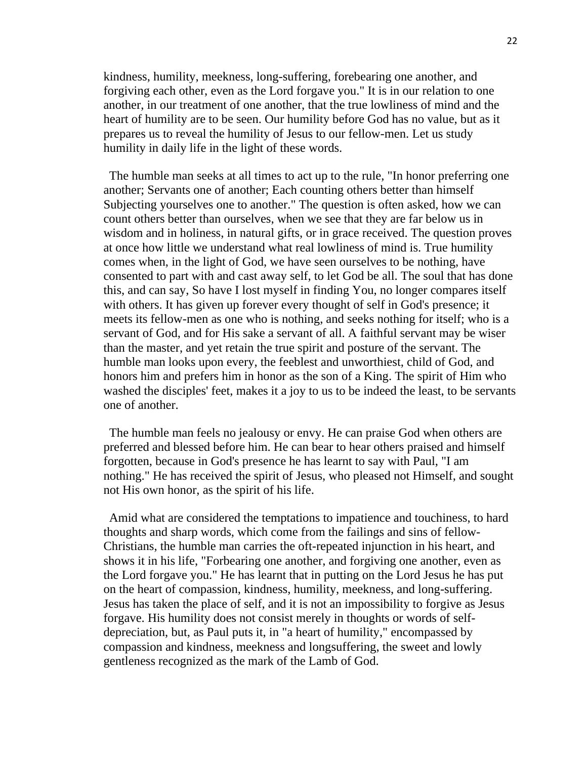kindness, humility, meekness, long-suffering, forebearing one another, and forgiving each other, even as the Lord forgave you." It is in our relation to one another, in our treatment of one another, that the true lowliness of mind and the heart of humility are to be seen. Our humility before God has no value, but as it prepares us to reveal the humility of Jesus to our fellow-men. Let us study humility in daily life in the light of these words.

The humble man seeks at all times to act up to the rule, "In honor preferring one another; Servants one of another; Each counting others better than himself Subjecting yourselves one to another." The question is often asked, how we can count others better than ourselves, when we see that they are far below us in wisdom and in holiness, in natural gifts, or in grace received. The question proves at once how little we understand what real lowliness of mind is. True humility comes when, in the light of God, we have seen ourselves to be nothing, have consented to part with and cast away self, to let God be all. The soul that has done this, and can say, So have I lost myself in finding You, no longer compares itself with others. It has given up forever every thought of self in God's presence; it meets its fellow-men as one who is nothing, and seeks nothing for itself; who is a servant of God, and for His sake a servant of all. A faithful servant may be wiser than the master, and yet retain the true spirit and posture of the servant. The humble man looks upon every, the feeblest and unworthiest, child of God, and honors him and prefers him in honor as the son of a King. The spirit of Him who washed the disciples' feet, makes it a joy to us to be indeed the least, to be servants one of another.

The humble man feels no jealousy or envy. He can praise God when others are preferred and blessed before him. He can bear to hear others praised and himself forgotten, because in God's presence he has learnt to say with Paul, "I am nothing." He has received the spirit of Jesus, who pleased not Himself, and sought not His own honor, as the spirit of his life.

Amid what are considered the temptations to impatience and touchiness, to hard thoughts and sharp words, which come from the failings and sins of fellow-Christians, the humble man carries the oft-repeated injunction in his heart, and shows it in his life, "Forbearing one another, and forgiving one another, even as the Lord forgave you." He has learnt that in putting on the Lord Jesus he has put on the heart of compassion, kindness, humility, meekness, and long-suffering. Jesus has taken the place of self, and it is not an impossibility to forgive as Jesus forgave. His humility does not consist merely in thoughts or words of selfdepreciation, but, as Paul puts it, in "a heart of humility," encompassed by compassion and kindness, meekness and longsuffering, the sweet and lowly gentleness recognized as the mark of the Lamb of God.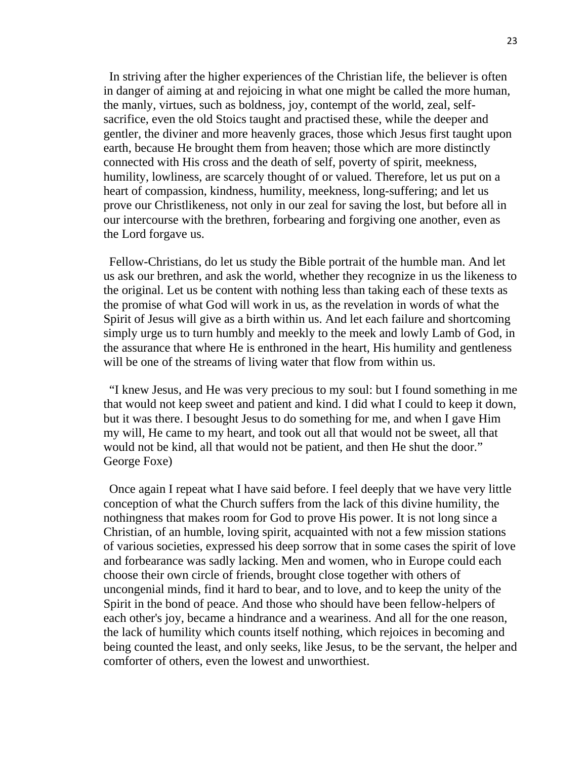In striving after the higher experiences of the Christian life, the believer is often in danger of aiming at and rejoicing in what one might be called the more human, the manly, virtues, such as boldness, joy, contempt of the world, zeal, selfsacrifice, even the old Stoics taught and practised these, while the deeper and gentler, the diviner and more heavenly graces, those which Jesus first taught upon earth, because He brought them from heaven; those which are more distinctly connected with His cross and the death of self, poverty of spirit, meekness, humility, lowliness, are scarcely thought of or valued. Therefore, let us put on a heart of compassion, kindness, humility, meekness, long-suffering; and let us prove our Christlikeness, not only in our zeal for saving the lost, but before all in our intercourse with the brethren, forbearing and forgiving one another, even as the Lord forgave us.

Fellow-Christians, do let us study the Bible portrait of the humble man. And let us ask our brethren, and ask the world, whether they recognize in us the likeness to the original. Let us be content with nothing less than taking each of these texts as the promise of what God will work in us, as the revelation in words of what the Spirit of Jesus will give as a birth within us. And let each failure and shortcoming simply urge us to turn humbly and meekly to the meek and lowly Lamb of God, in the assurance that where He is enthroned in the heart, His humility and gentleness will be one of the streams of living water that flow from within us.

"I knew Jesus, and He was very precious to my soul: but I found something in me that would not keep sweet and patient and kind. I did what I could to keep it down, but it was there. I besought Jesus to do something for me, and when I gave Him my will, He came to my heart, and took out all that would not be sweet, all that would not be kind, all that would not be patient, and then He shut the door." George Foxe)

Once again I repeat what I have said before. I feel deeply that we have very little conception of what the Church suffers from the lack of this divine humility, the nothingness that makes room for God to prove His power. It is not long since a Christian, of an humble, loving spirit, acquainted with not a few mission stations of various societies, expressed his deep sorrow that in some cases the spirit of love and forbearance was sadly lacking. Men and women, who in Europe could each choose their own circle of friends, brought close together with others of uncongenial minds, find it hard to bear, and to love, and to keep the unity of the Spirit in the bond of peace. And those who should have been fellow-helpers of each other's joy, became a hindrance and a weariness. And all for the one reason, the lack of humility which counts itself nothing, which rejoices in becoming and being counted the least, and only seeks, like Jesus, to be the servant, the helper and comforter of others, even the lowest and unworthiest.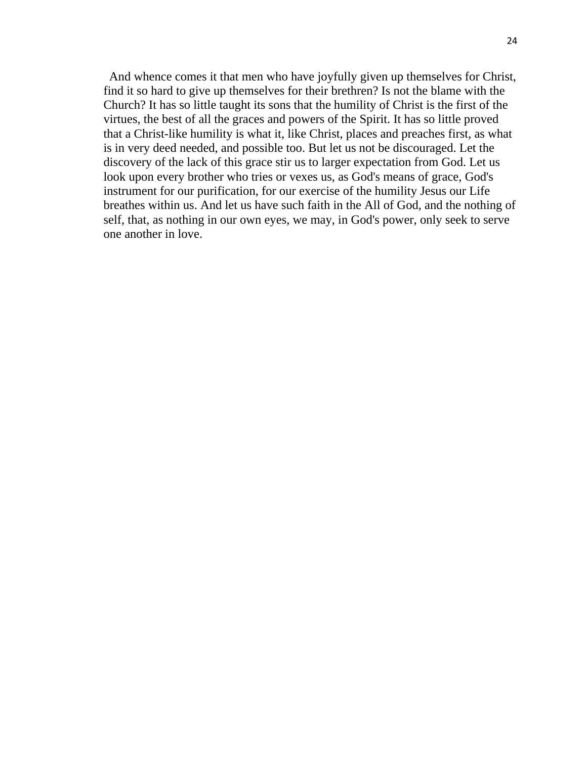And whence comes it that men who have joyfully given up themselves for Christ, find it so hard to give up themselves for their brethren? Is not the blame with the Church? It has so little taught its sons that the humility of Christ is the first of the virtues, the best of all the graces and powers of the Spirit. It has so little proved that a Christ-like humility is what it, like Christ, places and preaches first, as what is in very deed needed, and possible too. But let us not be discouraged. Let the discovery of the lack of this grace stir us to larger expectation from God. Let us look upon every brother who tries or vexes us, as God's means of grace, God's instrument for our purification, for our exercise of the humility Jesus our Life breathes within us. And let us have such faith in the All of God, and the nothing of self, that, as nothing in our own eyes, we may, in God's power, only seek to serve one another in love.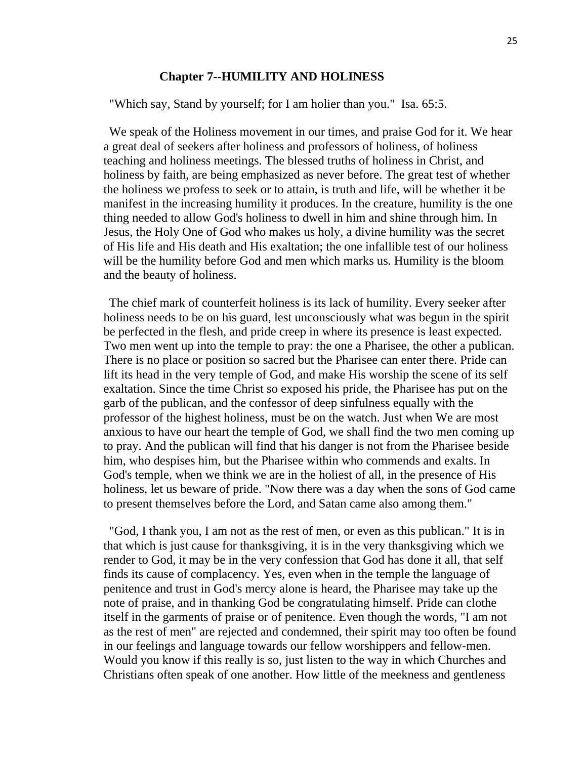#### **Chapter 7--HUMILITY AND HOLINESS**

"Which say, Stand by yourself; for I am holier than you." Isa. 65:5.

We speak of the Holiness movement in our times, and praise God for it. We hear a great deal of seekers after holiness and professors of holiness, of holiness teaching and holiness meetings. The blessed truths of holiness in Christ, and holiness by faith, are being emphasized as never before. The great test of whether the holiness we profess to seek or to attain, is truth and life, will be whether it be manifest in the increasing humility it produces. In the creature, humility is the one thing needed to allow God's holiness to dwell in him and shine through him. In Jesus, the Holy One of God who makes us holy, a divine humility was the secret of His life and His death and His exaltation; the one infallible test of our holiness will be the humility before God and men which marks us. Humility is the bloom and the beauty of holiness.

The chief mark of counterfeit holiness is its lack of humility. Every seeker after holiness needs to be on his guard, lest unconsciously what was begun in the spirit be perfected in the flesh, and pride creep in where its presence is least expected. Two men went up into the temple to pray: the one a Pharisee, the other a publican. There is no place or position so sacred but the Pharisee can enter there. Pride can lift its head in the very temple of God, and make His worship the scene of its self exaltation. Since the time Christ so exposed his pride, the Pharisee has put on the garb of the publican, and the confessor of deep sinfulness equally with the professor of the highest holiness, must be on the watch. Just when We are most anxious to have our heart the temple of God, we shall find the two men coming up to pray. And the publican will find that his danger is not from the Pharisee beside him, who despises him, but the Pharisee within who commends and exalts. In God's temple, when we think we are in the holiest of all, in the presence of His holiness, let us beware of pride. "Now there was a day when the sons of God came to present themselves before the Lord, and Satan came also among them."

"God, I thank you, I am not as the rest of men, or even as this publican." It is in that which is just cause for thanksgiving, it is in the very thanksgiving which we render to God, it may be in the very confession that God has done it all, that self finds its cause of complacency. Yes, even when in the temple the language of penitence and trust in God's mercy alone is heard, the Pharisee may take up the note of praise, and in thanking God be congratulating himself. Pride can clothe itself in the garments of praise or of penitence. Even though the words, "I am not as the rest of men" are rejected and condemned, their spirit may too often be found in our feelings and language towards our fellow worshippers and fellow-men. Would you know if this really is so, just listen to the way in which Churches and Christians often speak of one another. How little of the meekness and gentleness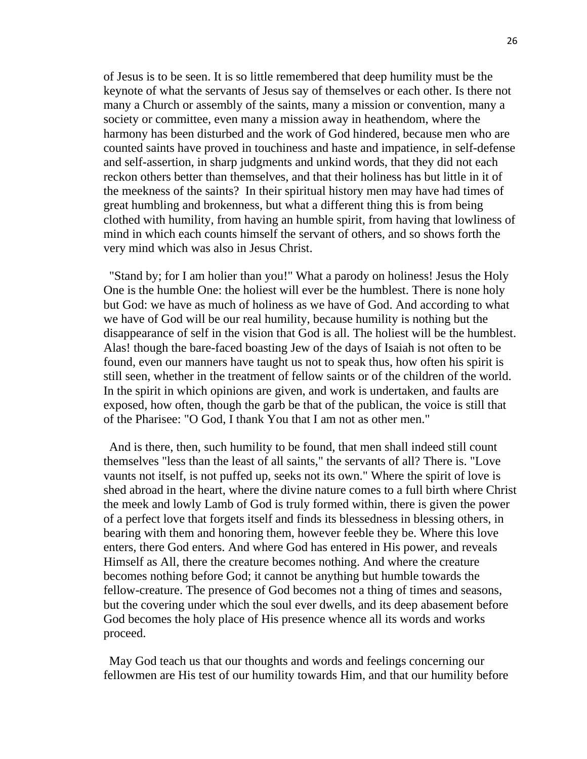of Jesus is to be seen. It is so little remembered that deep humility must be the keynote of what the servants of Jesus say of themselves or each other. Is there not many a Church or assembly of the saints, many a mission or convention, many a society or committee, even many a mission away in heathendom, where the harmony has been disturbed and the work of God hindered, because men who are counted saints have proved in touchiness and haste and impatience, in self-defense and self-assertion, in sharp judgments and unkind words, that they did not each reckon others better than themselves, and that their holiness has but little in it of the meekness of the saints? In their spiritual history men may have had times of great humbling and brokenness, but what a different thing this is from being clothed with humility, from having an humble spirit, from having that lowliness of mind in which each counts himself the servant of others, and so shows forth the very mind which was also in Jesus Christ.

"Stand by; for I am holier than you!" What a parody on holiness! Jesus the Holy One is the humble One: the holiest will ever be the humblest. There is none holy but God: we have as much of holiness as we have of God. And according to what we have of God will be our real humility, because humility is nothing but the disappearance of self in the vision that God is all. The holiest will be the humblest. Alas! though the bare-faced boasting Jew of the days of Isaiah is not often to be found, even our manners have taught us not to speak thus, how often his spirit is still seen, whether in the treatment of fellow saints or of the children of the world. In the spirit in which opinions are given, and work is undertaken, and faults are exposed, how often, though the garb be that of the publican, the voice is still that of the Pharisee: "O God, I thank You that I am not as other men."

And is there, then, such humility to be found, that men shall indeed still count themselves "less than the least of all saints," the servants of all? There is. "Love vaunts not itself, is not puffed up, seeks not its own." Where the spirit of love is shed abroad in the heart, where the divine nature comes to a full birth where Christ the meek and lowly Lamb of God is truly formed within, there is given the power of a perfect love that forgets itself and finds its blessedness in blessing others, in bearing with them and honoring them, however feeble they be. Where this love enters, there God enters. And where God has entered in His power, and reveals Himself as All, there the creature becomes nothing. And where the creature becomes nothing before God; it cannot be anything but humble towards the fellow-creature. The presence of God becomes not a thing of times and seasons, but the covering under which the soul ever dwells, and its deep abasement before God becomes the holy place of His presence whence all its words and works proceed.

May God teach us that our thoughts and words and feelings concerning our fellowmen are His test of our humility towards Him, and that our humility before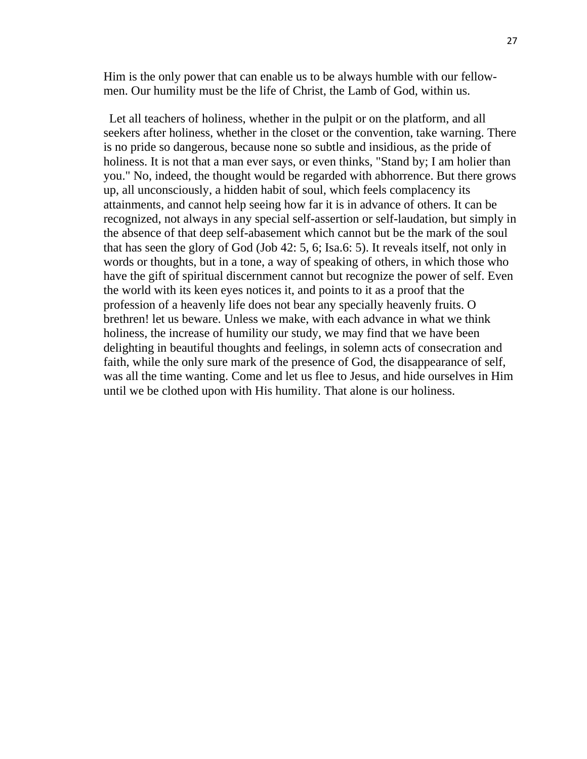Him is the only power that can enable us to be always humble with our fellowmen. Our humility must be the life of Christ, the Lamb of God, within us.

Let all teachers of holiness, whether in the pulpit or on the platform, and all seekers after holiness, whether in the closet or the convention, take warning. There is no pride so dangerous, because none so subtle and insidious, as the pride of holiness. It is not that a man ever says, or even thinks, "Stand by; I am holier than you." No, indeed, the thought would be regarded with abhorrence. But there grows up, all unconsciously, a hidden habit of soul, which feels complacency its attainments, and cannot help seeing how far it is in advance of others. It can be recognized, not always in any special self-assertion or self-laudation, but simply in the absence of that deep self-abasement which cannot but be the mark of the soul that has seen the glory of God (Job 42: 5, 6; Isa.6: 5). It reveals itself, not only in words or thoughts, but in a tone, a way of speaking of others, in which those who have the gift of spiritual discernment cannot but recognize the power of self. Even the world with its keen eyes notices it, and points to it as a proof that the profession of a heavenly life does not bear any specially heavenly fruits. O brethren! let us beware. Unless we make, with each advance in what we think holiness, the increase of humility our study, we may find that we have been delighting in beautiful thoughts and feelings, in solemn acts of consecration and faith, while the only sure mark of the presence of God, the disappearance of self, was all the time wanting. Come and let us flee to Jesus, and hide ourselves in Him until we be clothed upon with His humility. That alone is our holiness.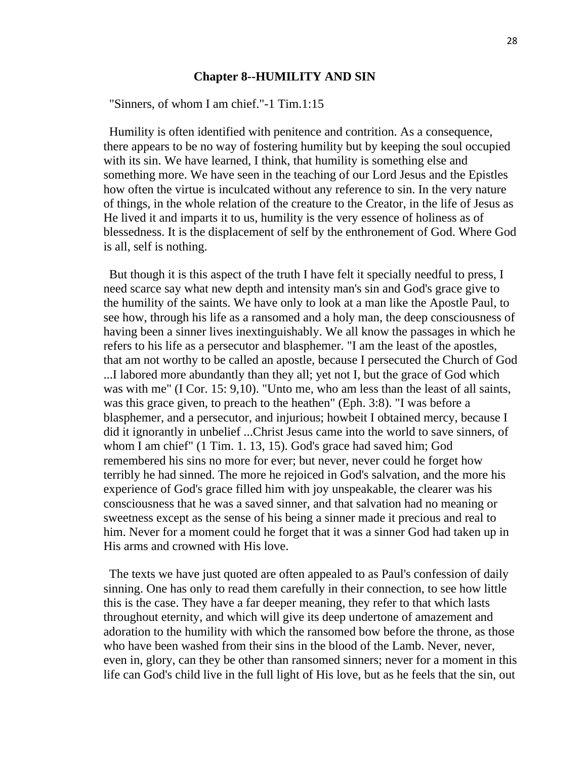#### **Chapter 8--HUMILITY AND SIN**

"Sinners, of whom I am chief."-1 Tim.1:15

Humility is often identified with penitence and contrition. As a consequence, there appears to be no way of fostering humility but by keeping the soul occupied with its sin. We have learned, I think, that humility is something else and something more. We have seen in the teaching of our Lord Jesus and the Epistles how often the virtue is inculcated without any reference to sin. In the very nature of things, in the whole relation of the creature to the Creator, in the life of Jesus as He lived it and imparts it to us, humility is the very essence of holiness as of blessedness. It is the displacement of self by the enthronement of God. Where God is all, self is nothing.

But though it is this aspect of the truth I have felt it specially needful to press, I need scarce say what new depth and intensity man's sin and God's grace give to the humility of the saints. We have only to look at a man like the Apostle Paul, to see how, through his life as a ransomed and a holy man, the deep consciousness of having been a sinner lives inextinguishably. We all know the passages in which he refers to his life as a persecutor and blasphemer. "I am the least of the apostles, that am not worthy to be called an apostle, because I persecuted the Church of God ...I labored more abundantly than they all; yet not I, but the grace of God which was with me" (I Cor. 15: 9,10). "Unto me, who am less than the least of all saints, was this grace given, to preach to the heathen" (Eph. 3:8). "I was before a blasphemer, and a persecutor, and injurious; howbeit I obtained mercy, because I did it ignorantly in unbelief ...Christ Jesus came into the world to save sinners, of whom I am chief" (1 Tim. 1. 13, 15). God's grace had saved him; God remembered his sins no more for ever; but never, never could he forget how terribly he had sinned. The more he rejoiced in God's salvation, and the more his experience of God's grace filled him with joy unspeakable, the clearer was his consciousness that he was a saved sinner, and that salvation had no meaning or sweetness except as the sense of his being a sinner made it precious and real to him. Never for a moment could he forget that it was a sinner God had taken up in His arms and crowned with His love.

The texts we have just quoted are often appealed to as Paul's confession of daily sinning. One has only to read them carefully in their connection, to see how little this is the case. They have a far deeper meaning, they refer to that which lasts throughout eternity, and which will give its deep undertone of amazement and adoration to the humility with which the ransomed bow before the throne, as those who have been washed from their sins in the blood of the Lamb. Never, never, even in, glory, can they be other than ransomed sinners; never for a moment in this life can God's child live in the full light of His love, but as he feels that the sin, out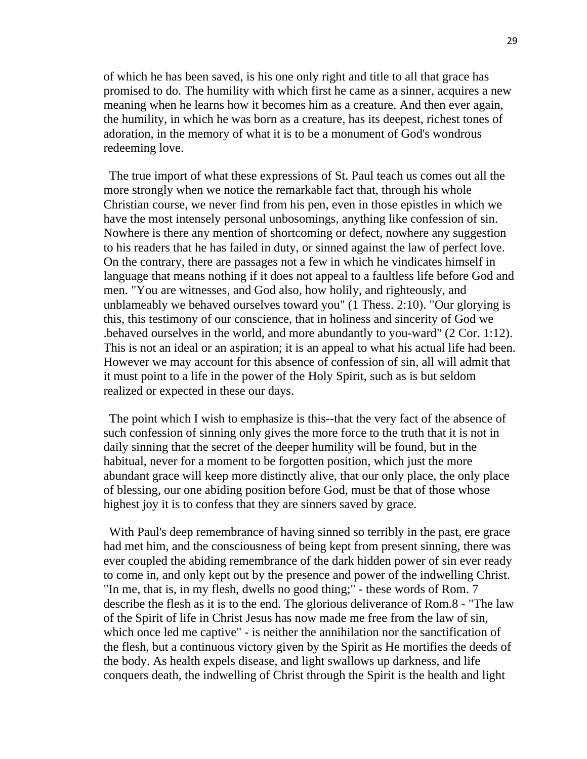of which he has been saved, is his one only right and title to all that grace has promised to do. The humility with which first he came as a sinner, acquires a new meaning when he learns how it becomes him as a creature. And then ever again, the humility, in which he was born as a creature, has its deepest, richest tones of adoration, in the memory of what it is to be a monument of God's wondrous redeeming love.

The true import of what these expressions of St. Paul teach us comes out all the more strongly when we notice the remarkable fact that, through his whole Christian course, we never find from his pen, even in those epistles in which we have the most intensely personal unbosomings, anything like confession of sin. Nowhere is there any mention of shortcoming or defect, nowhere any suggestion to his readers that he has failed in duty, or sinned against the law of perfect love. On the contrary, there are passages not a few in which he vindicates himself in language that means nothing if it does not appeal to a faultless life before God and men. "You are witnesses, and God also, how holily, and righteously, and unblameably we behaved ourselves toward you" (1 Thess. 2:10). "Our glorying is this, this testimony of our conscience, that in holiness and sincerity of God we .behaved ourselves in the world, and more abundantly to you-ward" (2 Cor. 1:12). This is not an ideal or an aspiration; it is an appeal to what his actual life had been. However we may account for this absence of confession of sin, all will admit that it must point to a life in the power of the Holy Spirit, such as is but seldom realized or expected in these our days.

The point which I wish to emphasize is this--that the very fact of the absence of such confession of sinning only gives the more force to the truth that it is not in daily sinning that the secret of the deeper humility will be found, but in the habitual, never for a moment to be forgotten position, which just the more abundant grace will keep more distinctly alive, that our only place, the only place of blessing, our one abiding position before God, must be that of those whose highest joy it is to confess that they are sinners saved by grace.

With Paul's deep remembrance of having sinned so terribly in the past, ere grace had met him, and the consciousness of being kept from present sinning, there was ever coupled the abiding remembrance of the dark hidden power of sin ever ready to come in, and only kept out by the presence and power of the indwelling Christ. "In me, that is, in my flesh, dwells no good thing;" - these words of Rom. 7 describe the flesh as it is to the end. The glorious deliverance of Rom.8 - "The law of the Spirit of life in Christ Jesus has now made me free from the law of sin, which once led me captive" - is neither the annihilation nor the sanctification of the flesh, but a continuous victory given by the Spirit as He mortifies the deeds of the body. As health expels disease, and light swallows up darkness, and life conquers death, the indwelling of Christ through the Spirit is the health and light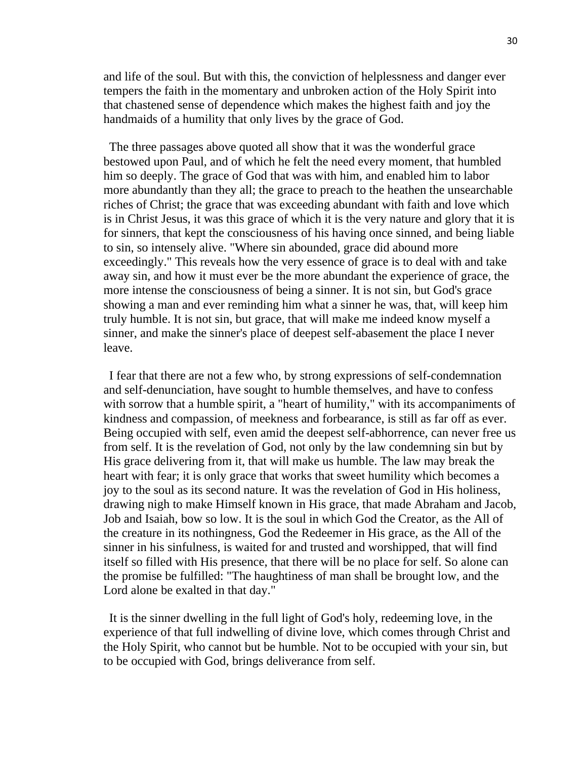and life of the soul. But with this, the conviction of helplessness and danger ever tempers the faith in the momentary and unbroken action of the Holy Spirit into that chastened sense of dependence which makes the highest faith and joy the handmaids of a humility that only lives by the grace of God.

The three passages above quoted all show that it was the wonderful grace bestowed upon Paul, and of which he felt the need every moment, that humbled him so deeply. The grace of God that was with him, and enabled him to labor more abundantly than they all; the grace to preach to the heathen the unsearchable riches of Christ; the grace that was exceeding abundant with faith and love which is in Christ Jesus, it was this grace of which it is the very nature and glory that it is for sinners, that kept the consciousness of his having once sinned, and being liable to sin, so intensely alive. "Where sin abounded, grace did abound more exceedingly." This reveals how the very essence of grace is to deal with and take away sin, and how it must ever be the more abundant the experience of grace, the more intense the consciousness of being a sinner. It is not sin, but God's grace showing a man and ever reminding him what a sinner he was, that, will keep him truly humble. It is not sin, but grace, that will make me indeed know myself a sinner, and make the sinner's place of deepest self-abasement the place I never leave.

I fear that there are not a few who, by strong expressions of self-condemnation and self-denunciation, have sought to humble themselves, and have to confess with sorrow that a humble spirit, a "heart of humility," with its accompaniments of kindness and compassion, of meekness and forbearance, is still as far off as ever. Being occupied with self, even amid the deepest self-abhorrence, can never free us from self. It is the revelation of God, not only by the law condemning sin but by His grace delivering from it, that will make us humble. The law may break the heart with fear; it is only grace that works that sweet humility which becomes a joy to the soul as its second nature. It was the revelation of God in His holiness, drawing nigh to make Himself known in His grace, that made Abraham and Jacob, Job and Isaiah, bow so low. It is the soul in which God the Creator, as the All of the creature in its nothingness, God the Redeemer in His grace, as the All of the sinner in his sinfulness, is waited for and trusted and worshipped, that will find itself so filled with His presence, that there will be no place for self. So alone can the promise be fulfilled: "The haughtiness of man shall be brought low, and the Lord alone be exalted in that day."

It is the sinner dwelling in the full light of God's holy, redeeming love, in the experience of that full indwelling of divine love, which comes through Christ and the Holy Spirit, who cannot but be humble. Not to be occupied with your sin, but to be occupied with God, brings deliverance from self.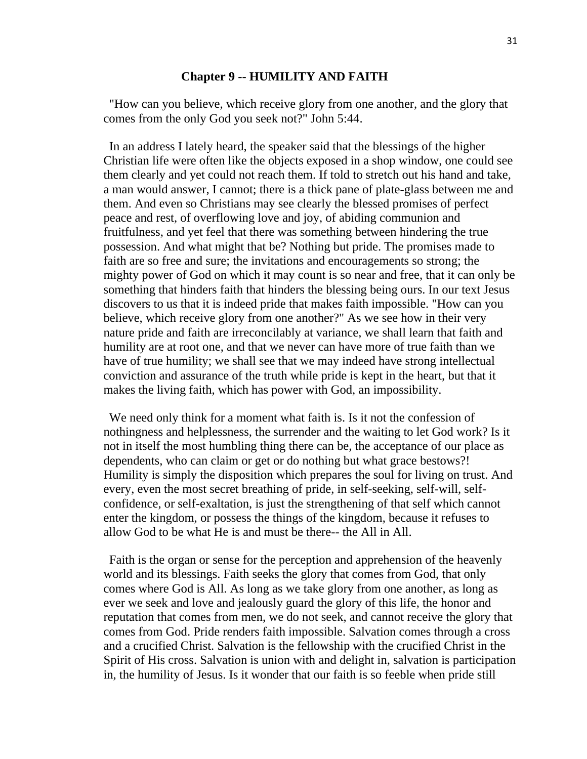#### **Chapter 9 -- HUMILITY AND FAITH**

"How can you believe, which receive glory from one another, and the glory that comes from the only God you seek not?" John 5:44.

In an address I lately heard, the speaker said that the blessings of the higher Christian life were often like the objects exposed in a shop window, one could see them clearly and yet could not reach them. If told to stretch out his hand and take, a man would answer, I cannot; there is a thick pane of plate-glass between me and them. And even so Christians may see clearly the blessed promises of perfect peace and rest, of overflowing love and joy, of abiding communion and fruitfulness, and yet feel that there was something between hindering the true possession. And what might that be? Nothing but pride. The promises made to faith are so free and sure; the invitations and encouragements so strong; the mighty power of God on which it may count is so near and free, that it can only be something that hinders faith that hinders the blessing being ours. In our text Jesus discovers to us that it is indeed pride that makes faith impossible. "How can you believe, which receive glory from one another?" As we see how in their very nature pride and faith are irreconcilably at variance, we shall learn that faith and humility are at root one, and that we never can have more of true faith than we have of true humility; we shall see that we may indeed have strong intellectual conviction and assurance of the truth while pride is kept in the heart, but that it makes the living faith, which has power with God, an impossibility.

We need only think for a moment what faith is. Is it not the confession of nothingness and helplessness, the surrender and the waiting to let God work? Is it not in itself the most humbling thing there can be, the acceptance of our place as dependents, who can claim or get or do nothing but what grace bestows?! Humility is simply the disposition which prepares the soul for living on trust. And every, even the most secret breathing of pride, in self-seeking, self-will, selfconfidence, or self-exaltation, is just the strengthening of that self which cannot enter the kingdom, or possess the things of the kingdom, because it refuses to allow God to be what He is and must be there-- the All in All.

Faith is the organ or sense for the perception and apprehension of the heavenly world and its blessings. Faith seeks the glory that comes from God, that only comes where God is All. As long as we take glory from one another, as long as ever we seek and love and jealously guard the glory of this life, the honor and reputation that comes from men, we do not seek, and cannot receive the glory that comes from God. Pride renders faith impossible. Salvation comes through a cross and a crucified Christ. Salvation is the fellowship with the crucified Christ in the Spirit of His cross. Salvation is union with and delight in, salvation is participation in, the humility of Jesus. Is it wonder that our faith is so feeble when pride still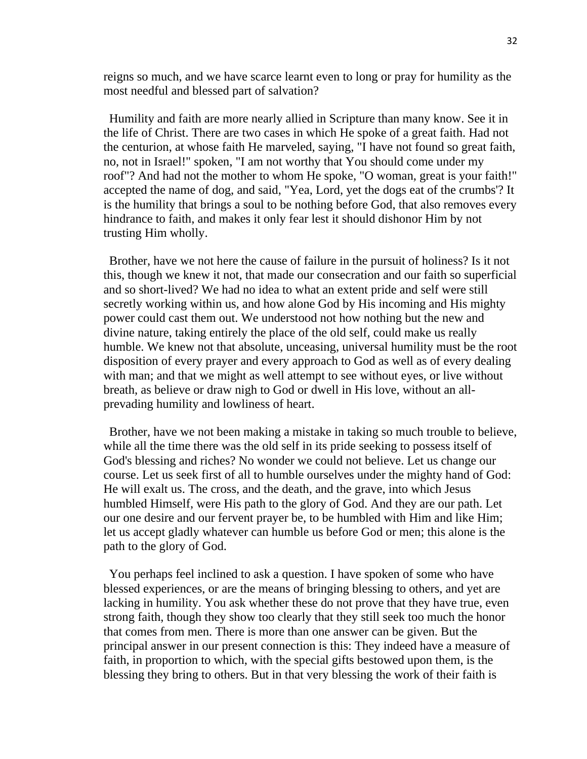reigns so much, and we have scarce learnt even to long or pray for humility as the most needful and blessed part of salvation?

Humility and faith are more nearly allied in Scripture than many know. See it in the life of Christ. There are two cases in which He spoke of a great faith. Had not the centurion, at whose faith He marveled, saying, "I have not found so great faith, no, not in Israel!" spoken, "I am not worthy that You should come under my roof"? And had not the mother to whom He spoke, "O woman, great is your faith!" accepted the name of dog, and said, "Yea, Lord, yet the dogs eat of the crumbs'? It is the humility that brings a soul to be nothing before God, that also removes every hindrance to faith, and makes it only fear lest it should dishonor Him by not trusting Him wholly.

Brother, have we not here the cause of failure in the pursuit of holiness? Is it not this, though we knew it not, that made our consecration and our faith so superficial and so short-lived? We had no idea to what an extent pride and self were still secretly working within us, and how alone God by His incoming and His mighty power could cast them out. We understood not how nothing but the new and divine nature, taking entirely the place of the old self, could make us really humble. We knew not that absolute, unceasing, universal humility must be the root disposition of every prayer and every approach to God as well as of every dealing with man; and that we might as well attempt to see without eyes, or live without breath, as believe or draw nigh to God or dwell in His love, without an allprevading humility and lowliness of heart.

Brother, have we not been making a mistake in taking so much trouble to believe, while all the time there was the old self in its pride seeking to possess itself of God's blessing and riches? No wonder we could not believe. Let us change our course. Let us seek first of all to humble ourselves under the mighty hand of God: He will exalt us. The cross, and the death, and the grave, into which Jesus humbled Himself, were His path to the glory of God. And they are our path. Let our one desire and our fervent prayer be, to be humbled with Him and like Him; let us accept gladly whatever can humble us before God or men; this alone is the path to the glory of God.

You perhaps feel inclined to ask a question. I have spoken of some who have blessed experiences, or are the means of bringing blessing to others, and yet are lacking in humility. You ask whether these do not prove that they have true, even strong faith, though they show too clearly that they still seek too much the honor that comes from men. There is more than one answer can be given. But the principal answer in our present connection is this: They indeed have a measure of faith, in proportion to which, with the special gifts bestowed upon them, is the blessing they bring to others. But in that very blessing the work of their faith is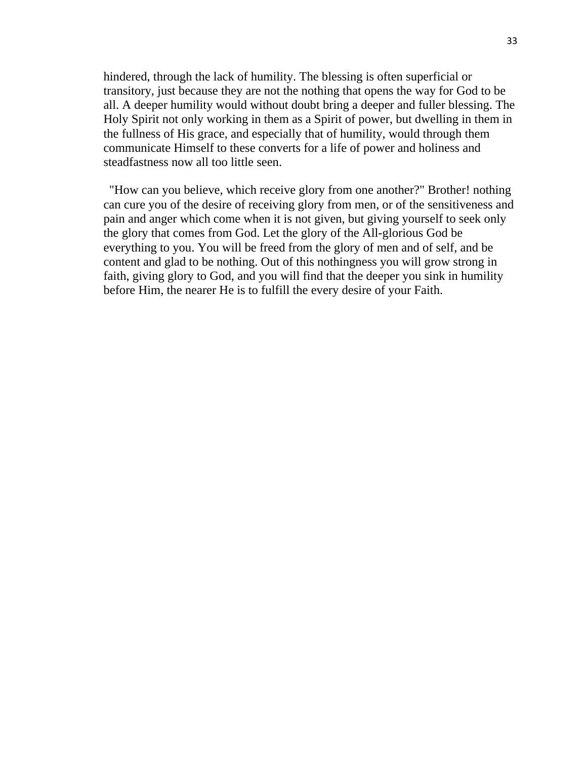hindered, through the lack of humility. The blessing is often superficial or transitory, just because they are not the nothing that opens the way for God to be all. A deeper humility would without doubt bring a deeper and fuller blessing. The Holy Spirit not only working in them as a Spirit of power, but dwelling in them in the fullness of His grace, and especially that of humility, would through them communicate Himself to these converts for a life of power and holiness and steadfastness now all too little seen.

"How can you believe, which receive glory from one another?" Brother! nothing can cure you of the desire of receiving glory from men, or of the sensitiveness and pain and anger which come when it is not given, but giving yourself to seek only the glory that comes from God. Let the glory of the All-glorious God be everything to you. You will be freed from the glory of men and of self, and be content and glad to be nothing. Out of this nothingness you will grow strong in faith, giving glory to God, and you will find that the deeper you sink in humility before Him, the nearer He is to fulfill the every desire of your Faith.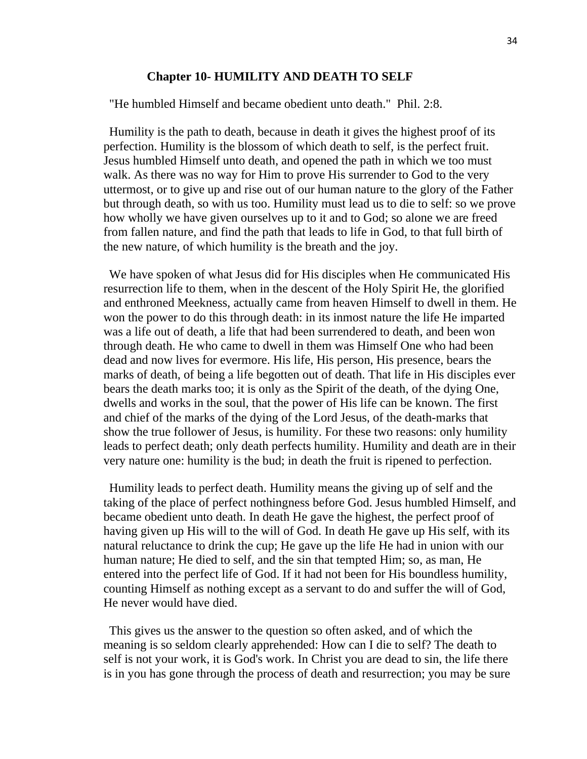#### **Chapter 10- HUMILITY AND DEATH TO SELF**

"He humbled Himself and became obedient unto death." Phil. 2:8.

Humility is the path to death, because in death it gives the highest proof of its perfection. Humility is the blossom of which death to self, is the perfect fruit. Jesus humbled Himself unto death, and opened the path in which we too must walk. As there was no way for Him to prove His surrender to God to the very uttermost, or to give up and rise out of our human nature to the glory of the Father but through death, so with us too. Humility must lead us to die to self: so we prove how wholly we have given ourselves up to it and to God; so alone we are freed from fallen nature, and find the path that leads to life in God, to that full birth of the new nature, of which humility is the breath and the joy.

We have spoken of what Jesus did for His disciples when He communicated His resurrection life to them, when in the descent of the Holy Spirit He, the glorified and enthroned Meekness, actually came from heaven Himself to dwell in them. He won the power to do this through death: in its inmost nature the life He imparted was a life out of death, a life that had been surrendered to death, and been won through death. He who came to dwell in them was Himself One who had been dead and now lives for evermore. His life, His person, His presence, bears the marks of death, of being a life begotten out of death. That life in His disciples ever bears the death marks too; it is only as the Spirit of the death, of the dying One, dwells and works in the soul, that the power of His life can be known. The first and chief of the marks of the dying of the Lord Jesus, of the death-marks that show the true follower of Jesus, is humility. For these two reasons: only humility leads to perfect death; only death perfects humility. Humility and death are in their very nature one: humility is the bud; in death the fruit is ripened to perfection.

Humility leads to perfect death. Humility means the giving up of self and the taking of the place of perfect nothingness before God. Jesus humbled Himself, and became obedient unto death. In death He gave the highest, the perfect proof of having given up His will to the will of God. In death He gave up His self, with its natural reluctance to drink the cup; He gave up the life He had in union with our human nature; He died to self, and the sin that tempted Him; so, as man, He entered into the perfect life of God. If it had not been for His boundless humility, counting Himself as nothing except as a servant to do and suffer the will of God, He never would have died.

This gives us the answer to the question so often asked, and of which the meaning is so seldom clearly apprehended: How can I die to self? The death to self is not your work, it is God's work. In Christ you are dead to sin, the life there is in you has gone through the process of death and resurrection; you may be sure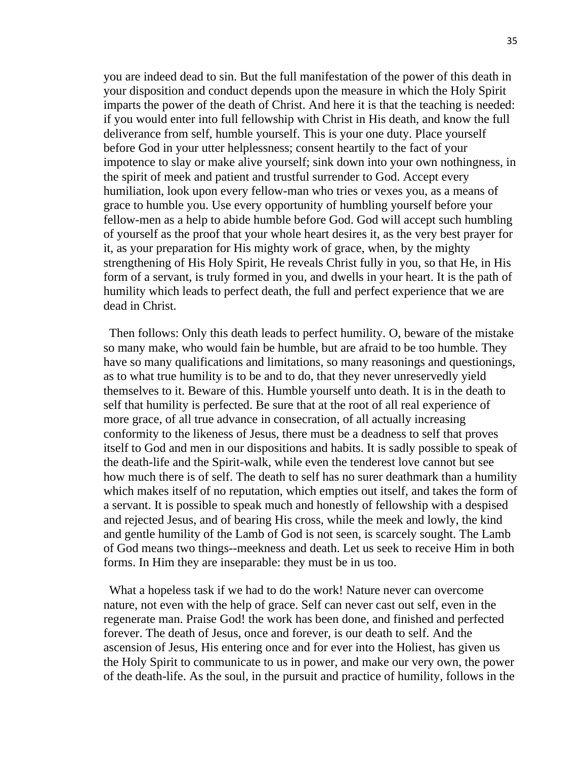you are indeed dead to sin. But the full manifestation of the power of this death in your disposition and conduct depends upon the measure in which the Holy Spirit imparts the power of the death of Christ. And here it is that the teaching is needed: if you would enter into full fellowship with Christ in His death, and know the full deliverance from self, humble yourself. This is your one duty. Place yourself before God in your utter helplessness; consent heartily to the fact of your impotence to slay or make alive yourself; sink down into your own nothingness, in the spirit of meek and patient and trustful surrender to God. Accept every humiliation, look upon every fellow-man who tries or vexes you, as a means of grace to humble you. Use every opportunity of humbling yourself before your fellow-men as a help to abide humble before God. God will accept such humbling of yourself as the proof that your whole heart desires it, as the very best prayer for it, as your preparation for His mighty work of grace, when, by the mighty strengthening of His Holy Spirit, He reveals Christ fully in you, so that He, in His form of a servant, is truly formed in you, and dwells in your heart. It is the path of humility which leads to perfect death, the full and perfect experience that we are dead in Christ.

Then follows: Only this death leads to perfect humility. O, beware of the mistake so many make, who would fain be humble, but are afraid to be too humble. They have so many qualifications and limitations, so many reasonings and questionings, as to what true humility is to be and to do, that they never unreservedly yield themselves to it. Beware of this. Humble yourself unto death. It is in the death to self that humility is perfected. Be sure that at the root of all real experience of more grace, of all true advance in consecration, of all actually increasing conformity to the likeness of Jesus, there must be a deadness to self that proves itself to God and men in our dispositions and habits. It is sadly possible to speak of the death-life and the Spirit-walk, while even the tenderest love cannot but see how much there is of self. The death to self has no surer deathmark than a humility which makes itself of no reputation, which empties out itself, and takes the form of a servant. It is possible to speak much and honestly of fellowship with a despised and rejected Jesus, and of bearing His cross, while the meek and lowly, the kind and gentle humility of the Lamb of God is not seen, is scarcely sought. The Lamb of God means two things--meekness and death. Let us seek to receive Him in both forms. In Him they are inseparable: they must be in us too.

What a hopeless task if we had to do the work! Nature never can overcome nature, not even with the help of grace. Self can never cast out self, even in the regenerate man. Praise God! the work has been done, and finished and perfected forever. The death of Jesus, once and forever, is our death to self. And the ascension of Jesus, His entering once and for ever into the Holiest, has given us the Holy Spirit to communicate to us in power, and make our very own, the power of the death-life. As the soul, in the pursuit and practice of humility, follows in the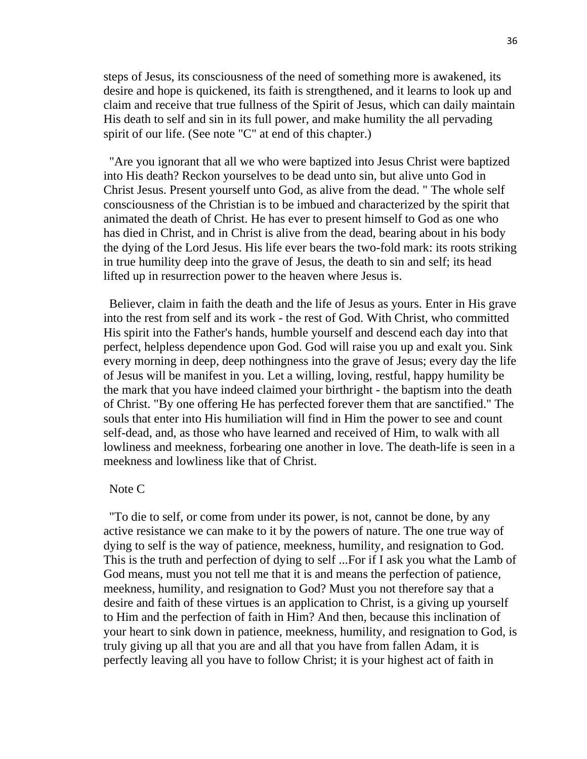steps of Jesus, its consciousness of the need of something more is awakened, its desire and hope is quickened, its faith is strengthened, and it learns to look up and claim and receive that true fullness of the Spirit of Jesus, which can daily maintain His death to self and sin in its full power, and make humility the all pervading spirit of our life. (See note "C" at end of this chapter.)

"Are you ignorant that all we who were baptized into Jesus Christ were baptized into His death? Reckon yourselves to be dead unto sin, but alive unto God in Christ Jesus. Present yourself unto God, as alive from the dead. " The whole self consciousness of the Christian is to be imbued and characterized by the spirit that animated the death of Christ. He has ever to present himself to God as one who has died in Christ, and in Christ is alive from the dead, bearing about in his body the dying of the Lord Jesus. His life ever bears the two-fold mark: its roots striking in true humility deep into the grave of Jesus, the death to sin and self; its head lifted up in resurrection power to the heaven where Jesus is.

Believer, claim in faith the death and the life of Jesus as yours. Enter in His grave into the rest from self and its work - the rest of God. With Christ, who committed His spirit into the Father's hands, humble yourself and descend each day into that perfect, helpless dependence upon God. God will raise you up and exalt you. Sink every morning in deep, deep nothingness into the grave of Jesus; every day the life of Jesus will be manifest in you. Let a willing, loving, restful, happy humility be the mark that you have indeed claimed your birthright - the baptism into the death of Christ. "By one offering He has perfected forever them that are sanctified." The souls that enter into His humiliation will find in Him the power to see and count self-dead, and, as those who have learned and received of Him, to walk with all lowliness and meekness, forbearing one another in love. The death-life is seen in a meekness and lowliness like that of Christ.

#### Note C

"To die to self, or come from under its power, is not, cannot be done, by any active resistance we can make to it by the powers of nature. The one true way of dying to self is the way of patience, meekness, humility, and resignation to God. This is the truth and perfection of dying to self ...For if I ask you what the Lamb of God means, must you not tell me that it is and means the perfection of patience, meekness, humility, and resignation to God? Must you not therefore say that a desire and faith of these virtues is an application to Christ, is a giving up yourself to Him and the perfection of faith in Him? And then, because this inclination of your heart to sink down in patience, meekness, humility, and resignation to God, is truly giving up all that you are and all that you have from fallen Adam, it is perfectly leaving all you have to follow Christ; it is your highest act of faith in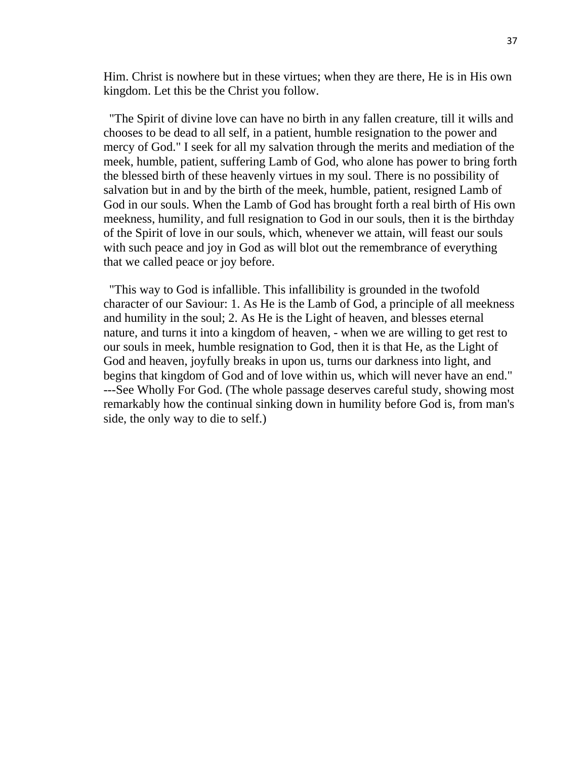Him. Christ is nowhere but in these virtues; when they are there, He is in His own kingdom. Let this be the Christ you follow.

"The Spirit of divine love can have no birth in any fallen creature, till it wills and chooses to be dead to all self, in a patient, humble resignation to the power and mercy of God." I seek for all my salvation through the merits and mediation of the meek, humble, patient, suffering Lamb of God, who alone has power to bring forth the blessed birth of these heavenly virtues in my soul. There is no possibility of salvation but in and by the birth of the meek, humble, patient, resigned Lamb of God in our souls. When the Lamb of God has brought forth a real birth of His own meekness, humility, and full resignation to God in our souls, then it is the birthday of the Spirit of love in our souls, which, whenever we attain, will feast our souls with such peace and joy in God as will blot out the remembrance of everything that we called peace or joy before.

"This way to God is infallible. This infallibility is grounded in the twofold character of our Saviour: 1. As He is the Lamb of God, a principle of all meekness and humility in the soul; 2. As He is the Light of heaven, and blesses eternal nature, and turns it into a kingdom of heaven, - when we are willing to get rest to our souls in meek, humble resignation to God, then it is that He, as the Light of God and heaven, joyfully breaks in upon us, turns our darkness into light, and begins that kingdom of God and of love within us, which will never have an end." ---See Wholly For God. (The whole passage deserves careful study, showing most remarkably how the continual sinking down in humility before God is, from man's side, the only way to die to self.)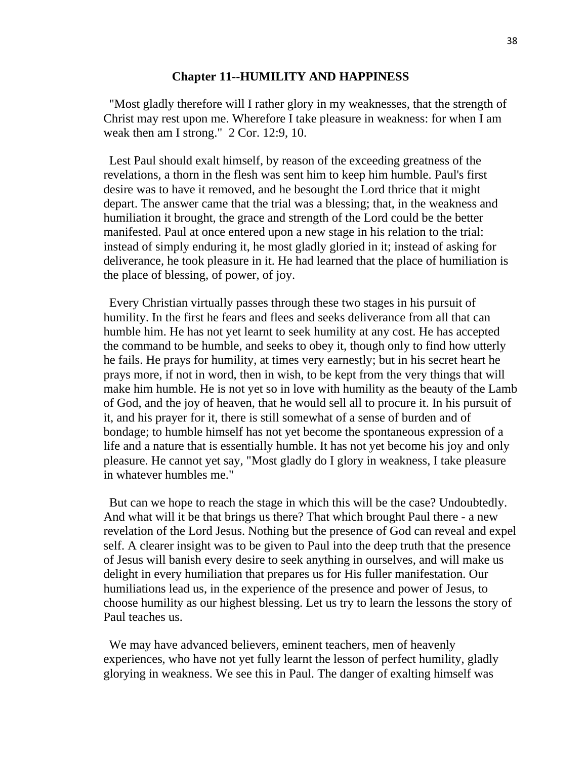#### **Chapter 11--HUMILITY AND HAPPINESS**

"Most gladly therefore will I rather glory in my weaknesses, that the strength of Christ may rest upon me. Wherefore I take pleasure in weakness: for when I am weak then am I strong." 2 Cor. 12:9, 10.

Lest Paul should exalt himself, by reason of the exceeding greatness of the revelations, a thorn in the flesh was sent him to keep him humble. Paul's first desire was to have it removed, and he besought the Lord thrice that it might depart. The answer came that the trial was a blessing; that, in the weakness and humiliation it brought, the grace and strength of the Lord could be the better manifested. Paul at once entered upon a new stage in his relation to the trial: instead of simply enduring it, he most gladly gloried in it; instead of asking for deliverance, he took pleasure in it. He had learned that the place of humiliation is the place of blessing, of power, of joy.

Every Christian virtually passes through these two stages in his pursuit of humility. In the first he fears and flees and seeks deliverance from all that can humble him. He has not yet learnt to seek humility at any cost. He has accepted the command to be humble, and seeks to obey it, though only to find how utterly he fails. He prays for humility, at times very earnestly; but in his secret heart he prays more, if not in word, then in wish, to be kept from the very things that will make him humble. He is not yet so in love with humility as the beauty of the Lamb of God, and the joy of heaven, that he would sell all to procure it. In his pursuit of it, and his prayer for it, there is still somewhat of a sense of burden and of bondage; to humble himself has not yet become the spontaneous expression of a life and a nature that is essentially humble. It has not yet become his joy and only pleasure. He cannot yet say, "Most gladly do I glory in weakness, I take pleasure in whatever humbles me."

But can we hope to reach the stage in which this will be the case? Undoubtedly. And what will it be that brings us there? That which brought Paul there - a new revelation of the Lord Jesus. Nothing but the presence of God can reveal and expel self. A clearer insight was to be given to Paul into the deep truth that the presence of Jesus will banish every desire to seek anything in ourselves, and will make us delight in every humiliation that prepares us for His fuller manifestation. Our humiliations lead us, in the experience of the presence and power of Jesus, to choose humility as our highest blessing. Let us try to learn the lessons the story of Paul teaches us.

We may have advanced believers, eminent teachers, men of heavenly experiences, who have not yet fully learnt the lesson of perfect humility, gladly glorying in weakness. We see this in Paul. The danger of exalting himself was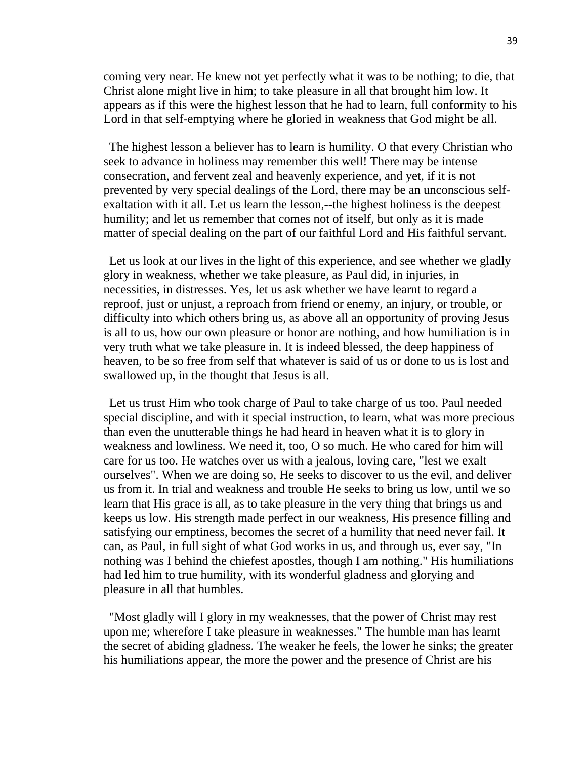coming very near. He knew not yet perfectly what it was to be nothing; to die, that Christ alone might live in him; to take pleasure in all that brought him low. It appears as if this were the highest lesson that he had to learn, full conformity to his Lord in that self-emptying where he gloried in weakness that God might be all.

The highest lesson a believer has to learn is humility. O that every Christian who seek to advance in holiness may remember this well! There may be intense consecration, and fervent zeal and heavenly experience, and yet, if it is not prevented by very special dealings of the Lord, there may be an unconscious selfexaltation with it all. Let us learn the lesson,--the highest holiness is the deepest humility; and let us remember that comes not of itself, but only as it is made matter of special dealing on the part of our faithful Lord and His faithful servant.

Let us look at our lives in the light of this experience, and see whether we gladly glory in weakness, whether we take pleasure, as Paul did, in injuries, in necessities, in distresses. Yes, let us ask whether we have learnt to regard a reproof, just or unjust, a reproach from friend or enemy, an injury, or trouble, or difficulty into which others bring us, as above all an opportunity of proving Jesus is all to us, how our own pleasure or honor are nothing, and how humiliation is in very truth what we take pleasure in. It is indeed blessed, the deep happiness of heaven, to be so free from self that whatever is said of us or done to us is lost and swallowed up, in the thought that Jesus is all.

Let us trust Him who took charge of Paul to take charge of us too. Paul needed special discipline, and with it special instruction, to learn, what was more precious than even the unutterable things he had heard in heaven what it is to glory in weakness and lowliness. We need it, too, O so much. He who cared for him will care for us too. He watches over us with a jealous, loving care, "lest we exalt ourselves". When we are doing so, He seeks to discover to us the evil, and deliver us from it. In trial and weakness and trouble He seeks to bring us low, until we so learn that His grace is all, as to take pleasure in the very thing that brings us and keeps us low. His strength made perfect in our weakness, His presence filling and satisfying our emptiness, becomes the secret of a humility that need never fail. It can, as Paul, in full sight of what God works in us, and through us, ever say, "In nothing was I behind the chiefest apostles, though I am nothing." His humiliations had led him to true humility, with its wonderful gladness and glorying and pleasure in all that humbles.

"Most gladly will I glory in my weaknesses, that the power of Christ may rest upon me; wherefore I take pleasure in weaknesses." The humble man has learnt the secret of abiding gladness. The weaker he feels, the lower he sinks; the greater his humiliations appear, the more the power and the presence of Christ are his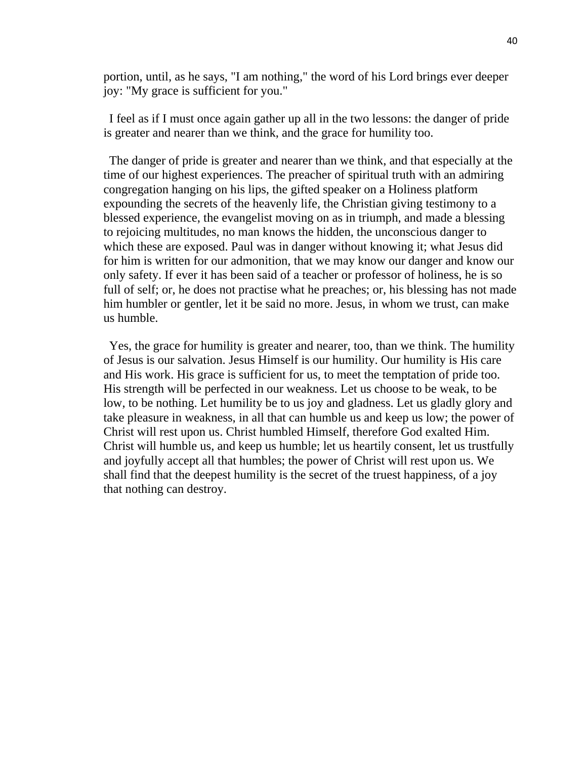portion, until, as he says, "I am nothing," the word of his Lord brings ever deeper joy: "My grace is sufficient for you."

I feel as if I must once again gather up all in the two lessons: the danger of pride is greater and nearer than we think, and the grace for humility too.

The danger of pride is greater and nearer than we think, and that especially at the time of our highest experiences. The preacher of spiritual truth with an admiring congregation hanging on his lips, the gifted speaker on a Holiness platform expounding the secrets of the heavenly life, the Christian giving testimony to a blessed experience, the evangelist moving on as in triumph, and made a blessing to rejoicing multitudes, no man knows the hidden, the unconscious danger to which these are exposed. Paul was in danger without knowing it; what Jesus did for him is written for our admonition, that we may know our danger and know our only safety. If ever it has been said of a teacher or professor of holiness, he is so full of self; or, he does not practise what he preaches; or, his blessing has not made him humbler or gentler, let it be said no more. Jesus, in whom we trust, can make us humble.

Yes, the grace for humility is greater and nearer, too, than we think. The humility of Jesus is our salvation. Jesus Himself is our humility. Our humility is His care and His work. His grace is sufficient for us, to meet the temptation of pride too. His strength will be perfected in our weakness. Let us choose to be weak, to be low, to be nothing. Let humility be to us joy and gladness. Let us gladly glory and take pleasure in weakness, in all that can humble us and keep us low; the power of Christ will rest upon us. Christ humbled Himself, therefore God exalted Him. Christ will humble us, and keep us humble; let us heartily consent, let us trustfully and joyfully accept all that humbles; the power of Christ will rest upon us. We shall find that the deepest humility is the secret of the truest happiness, of a joy that nothing can destroy.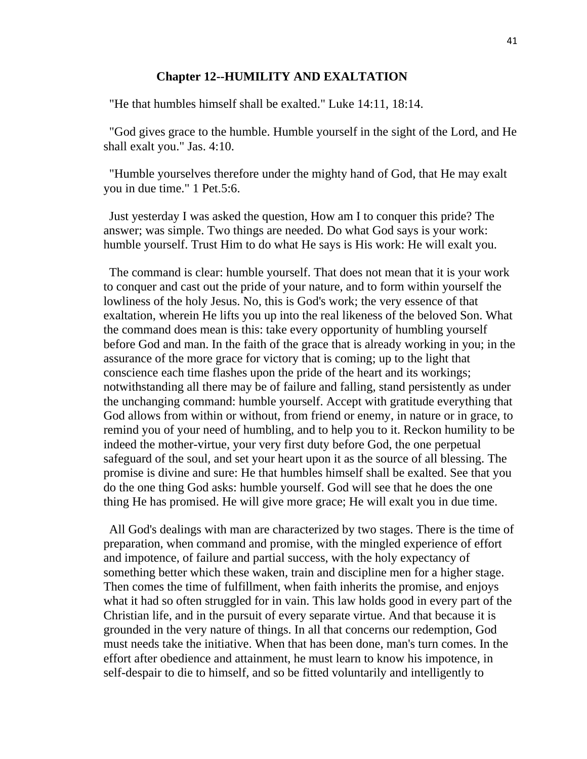#### **Chapter 12--HUMILITY AND EXALTATION**

"He that humbles himself shall be exalted." Luke 14:11, 18:14.

"God gives grace to the humble. Humble yourself in the sight of the Lord, and He shall exalt you." Jas. 4:10.

"Humble yourselves therefore under the mighty hand of God, that He may exalt you in due time." 1 Pet.5:6.

Just yesterday I was asked the question, How am I to conquer this pride? The answer; was simple. Two things are needed. Do what God says is your work: humble yourself. Trust Him to do what He says is His work: He will exalt you.

The command is clear: humble yourself. That does not mean that it is your work to conquer and cast out the pride of your nature, and to form within yourself the lowliness of the holy Jesus. No, this is God's work; the very essence of that exaltation, wherein He lifts you up into the real likeness of the beloved Son. What the command does mean is this: take every opportunity of humbling yourself before God and man. In the faith of the grace that is already working in you; in the assurance of the more grace for victory that is coming; up to the light that conscience each time flashes upon the pride of the heart and its workings; notwithstanding all there may be of failure and falling, stand persistently as under the unchanging command: humble yourself. Accept with gratitude everything that God allows from within or without, from friend or enemy, in nature or in grace, to remind you of your need of humbling, and to help you to it. Reckon humility to be indeed the mother-virtue, your very first duty before God, the one perpetual safeguard of the soul, and set your heart upon it as the source of all blessing. The promise is divine and sure: He that humbles himself shall be exalted. See that you do the one thing God asks: humble yourself. God will see that he does the one thing He has promised. He will give more grace; He will exalt you in due time.

All God's dealings with man are characterized by two stages. There is the time of preparation, when command and promise, with the mingled experience of effort and impotence, of failure and partial success, with the holy expectancy of something better which these waken, train and discipline men for a higher stage. Then comes the time of fulfillment, when faith inherits the promise, and enjoys what it had so often struggled for in vain. This law holds good in every part of the Christian life, and in the pursuit of every separate virtue. And that because it is grounded in the very nature of things. In all that concerns our redemption, God must needs take the initiative. When that has been done, man's turn comes. In the effort after obedience and attainment, he must learn to know his impotence, in self-despair to die to himself, and so be fitted voluntarily and intelligently to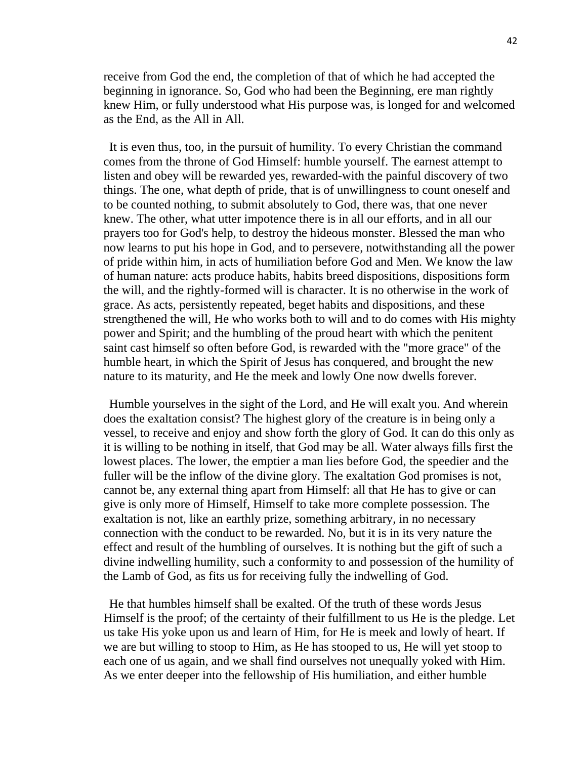receive from God the end, the completion of that of which he had accepted the beginning in ignorance. So, God who had been the Beginning, ere man rightly knew Him, or fully understood what His purpose was, is longed for and welcomed as the End, as the All in All.

It is even thus, too, in the pursuit of humility. To every Christian the command comes from the throne of God Himself: humble yourself. The earnest attempt to listen and obey will be rewarded yes, rewarded-with the painful discovery of two things. The one, what depth of pride, that is of unwillingness to count oneself and to be counted nothing, to submit absolutely to God, there was, that one never knew. The other, what utter impotence there is in all our efforts, and in all our prayers too for God's help, to destroy the hideous monster. Blessed the man who now learns to put his hope in God, and to persevere, notwithstanding all the power of pride within him, in acts of humiliation before God and Men. We know the law of human nature: acts produce habits, habits breed dispositions, dispositions form the will, and the rightly-formed will is character. It is no otherwise in the work of grace. As acts, persistently repeated, beget habits and dispositions, and these strengthened the will, He who works both to will and to do comes with His mighty power and Spirit; and the humbling of the proud heart with which the penitent saint cast himself so often before God, is rewarded with the "more grace" of the humble heart, in which the Spirit of Jesus has conquered, and brought the new nature to its maturity, and He the meek and lowly One now dwells forever.

Humble yourselves in the sight of the Lord, and He will exalt you. And wherein does the exaltation consist? The highest glory of the creature is in being only a vessel, to receive and enjoy and show forth the glory of God. It can do this only as it is willing to be nothing in itself, that God may be all. Water always fills first the lowest places. The lower, the emptier a man lies before God, the speedier and the fuller will be the inflow of the divine glory. The exaltation God promises is not, cannot be, any external thing apart from Himself: all that He has to give or can give is only more of Himself, Himself to take more complete possession. The exaltation is not, like an earthly prize, something arbitrary, in no necessary connection with the conduct to be rewarded. No, but it is in its very nature the effect and result of the humbling of ourselves. It is nothing but the gift of such a divine indwelling humility, such a conformity to and possession of the humility of the Lamb of God, as fits us for receiving fully the indwelling of God.

He that humbles himself shall be exalted. Of the truth of these words Jesus Himself is the proof; of the certainty of their fulfillment to us He is the pledge. Let us take His yoke upon us and learn of Him, for He is meek and lowly of heart. If we are but willing to stoop to Him, as He has stooped to us, He will yet stoop to each one of us again, and we shall find ourselves not unequally yoked with Him. As we enter deeper into the fellowship of His humiliation, and either humble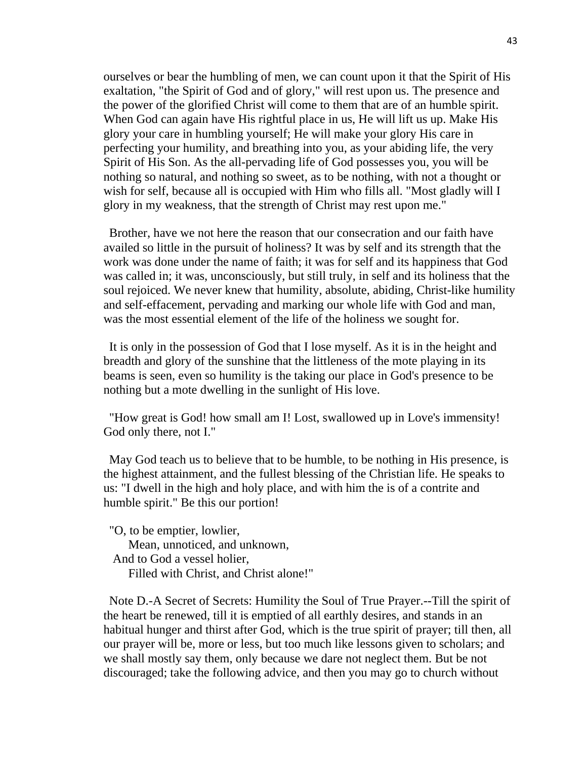ourselves or bear the humbling of men, we can count upon it that the Spirit of His exaltation, "the Spirit of God and of glory," will rest upon us. The presence and the power of the glorified Christ will come to them that are of an humble spirit. When God can again have His rightful place in us, He will lift us up. Make His glory your care in humbling yourself; He will make your glory His care in perfecting your humility, and breathing into you, as your abiding life, the very Spirit of His Son. As the all-pervading life of God possesses you, you will be nothing so natural, and nothing so sweet, as to be nothing, with not a thought or wish for self, because all is occupied with Him who fills all. "Most gladly will I glory in my weakness, that the strength of Christ may rest upon me."

Brother, have we not here the reason that our consecration and our faith have availed so little in the pursuit of holiness? It was by self and its strength that the work was done under the name of faith; it was for self and its happiness that God was called in; it was, unconsciously, but still truly, in self and its holiness that the soul rejoiced. We never knew that humility, absolute, abiding, Christ-like humility and self-effacement, pervading and marking our whole life with God and man, was the most essential element of the life of the holiness we sought for.

It is only in the possession of God that I lose myself. As it is in the height and breadth and glory of the sunshine that the littleness of the mote playing in its beams is seen, even so humility is the taking our place in God's presence to be nothing but a mote dwelling in the sunlight of His love.

"How great is God! how small am I! Lost, swallowed up in Love's immensity! God only there, not I."

May God teach us to believe that to be humble, to be nothing in His presence, is the highest attainment, and the fullest blessing of the Christian life. He speaks to us: "I dwell in the high and holy place, and with him the is of a contrite and humble spirit." Be this our portion!

"O, to be emptier, lowlier, Mean, unnoticed, and unknown, And to God a vessel holier, Filled with Christ, and Christ alone!"

Note D.-A Secret of Secrets: Humility the Soul of True Prayer.--Till the spirit of the heart be renewed, till it is emptied of all earthly desires, and stands in an habitual hunger and thirst after God, which is the true spirit of prayer; till then, all our prayer will be, more or less, but too much like lessons given to scholars; and we shall mostly say them, only because we dare not neglect them. But be not discouraged; take the following advice, and then you may go to church without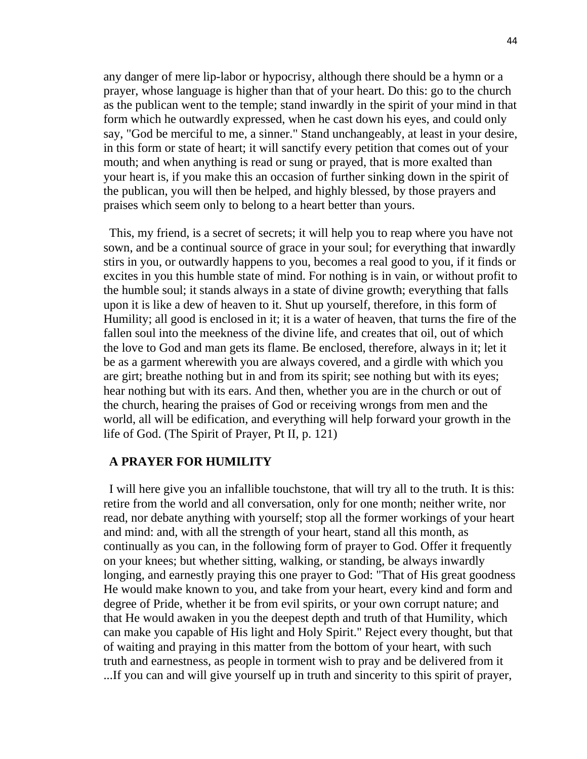any danger of mere lip-labor or hypocrisy, although there should be a hymn or a prayer, whose language is higher than that of your heart. Do this: go to the church as the publican went to the temple; stand inwardly in the spirit of your mind in that form which he outwardly expressed, when he cast down his eyes, and could only say, "God be merciful to me, a sinner." Stand unchangeably, at least in your desire, in this form or state of heart; it will sanctify every petition that comes out of your mouth; and when anything is read or sung or prayed, that is more exalted than your heart is, if you make this an occasion of further sinking down in the spirit of the publican, you will then be helped, and highly blessed, by those prayers and praises which seem only to belong to a heart better than yours.

This, my friend, is a secret of secrets; it will help you to reap where you have not sown, and be a continual source of grace in your soul; for everything that inwardly stirs in you, or outwardly happens to you, becomes a real good to you, if it finds or excites in you this humble state of mind. For nothing is in vain, or without profit to the humble soul; it stands always in a state of divine growth; everything that falls upon it is like a dew of heaven to it. Shut up yourself, therefore, in this form of Humility; all good is enclosed in it; it is a water of heaven, that turns the fire of the fallen soul into the meekness of the divine life, and creates that oil, out of which the love to God and man gets its flame. Be enclosed, therefore, always in it; let it be as a garment wherewith you are always covered, and a girdle with which you are girt; breathe nothing but in and from its spirit; see nothing but with its eyes; hear nothing but with its ears. And then, whether you are in the church or out of the church, hearing the praises of God or receiving wrongs from men and the world, all will be edification, and everything will help forward your growth in the life of God. (The Spirit of Prayer, Pt II, p. 121)

# **A PRAYER FOR HUMILITY**

I will here give you an infallible touchstone, that will try all to the truth. It is this: retire from the world and all conversation, only for one month; neither write, nor read, nor debate anything with yourself; stop all the former workings of your heart and mind: and, with all the strength of your heart, stand all this month, as continually as you can, in the following form of prayer to God. Offer it frequently on your knees; but whether sitting, walking, or standing, be always inwardly longing, and earnestly praying this one prayer to God: "That of His great goodness He would make known to you, and take from your heart, every kind and form and degree of Pride, whether it be from evil spirits, or your own corrupt nature; and that He would awaken in you the deepest depth and truth of that Humility, which can make you capable of His light and Holy Spirit." Reject every thought, but that of waiting and praying in this matter from the bottom of your heart, with such truth and earnestness, as people in torment wish to pray and be delivered from it ...If you can and will give yourself up in truth and sincerity to this spirit of prayer,